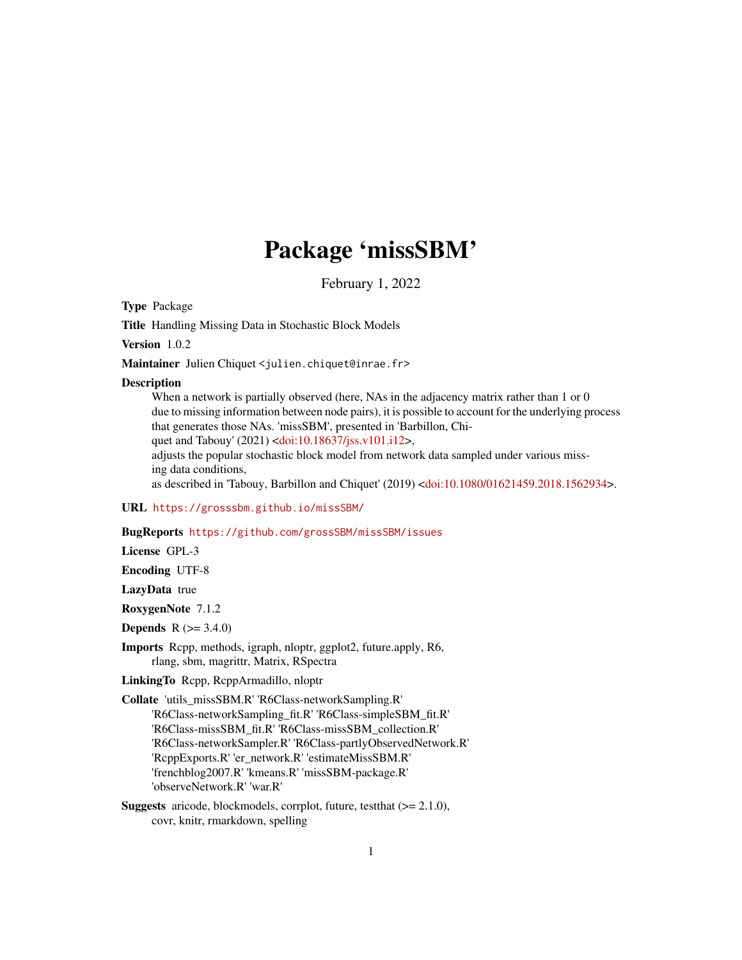# Package 'missSBM'

February 1, 2022

<span id="page-0-0"></span>Type Package

Title Handling Missing Data in Stochastic Block Models

Version 1.0.2

Maintainer Julien Chiquet <julien.chiquet@inrae.fr>

#### **Description**

When a network is partially observed (here, NAs in the adjacency matrix rather than 1 or 0 due to missing information between node pairs), it is possible to account for the underlying process that generates those NAs. 'missSBM', presented in 'Barbillon, Chi-

quet and Tabouy' (2021) [<doi:10.18637/jss.v101.i12>](https://doi.org/10.18637/jss.v101.i12),

adjusts the popular stochastic block model from network data sampled under various missing data conditions,

as described in 'Tabouy, Barbillon and Chiquet' (2019) [<doi:10.1080/01621459.2018.1562934>](https://doi.org/10.1080/01621459.2018.1562934).

#### URL <https://grosssbm.github.io/missSBM/>

# BugReports <https://github.com/grossSBM/missSBM/issues>

License GPL-3

Encoding UTF-8

LazyData true

RoxygenNote 7.1.2

**Depends**  $R (= 3.4.0)$ 

Imports Rcpp, methods, igraph, nloptr, ggplot2, future.apply, R6, rlang, sbm, magrittr, Matrix, RSpectra

LinkingTo Rcpp, RcppArmadillo, nloptr

Collate 'utils\_missSBM.R' 'R6Class-networkSampling.R' 'R6Class-networkSampling\_fit.R' 'R6Class-simpleSBM\_fit.R' 'R6Class-missSBM\_fit.R' 'R6Class-missSBM\_collection.R' 'R6Class-networkSampler.R' 'R6Class-partlyObservedNetwork.R' 'RcppExports.R' 'er\_network.R' 'estimateMissSBM.R' 'frenchblog2007.R' 'kmeans.R' 'missSBM-package.R' 'observeNetwork.R' 'war.R'

Suggests aricode, blockmodels, corrplot, future, testthat (>= 2.1.0), covr, knitr, rmarkdown, spelling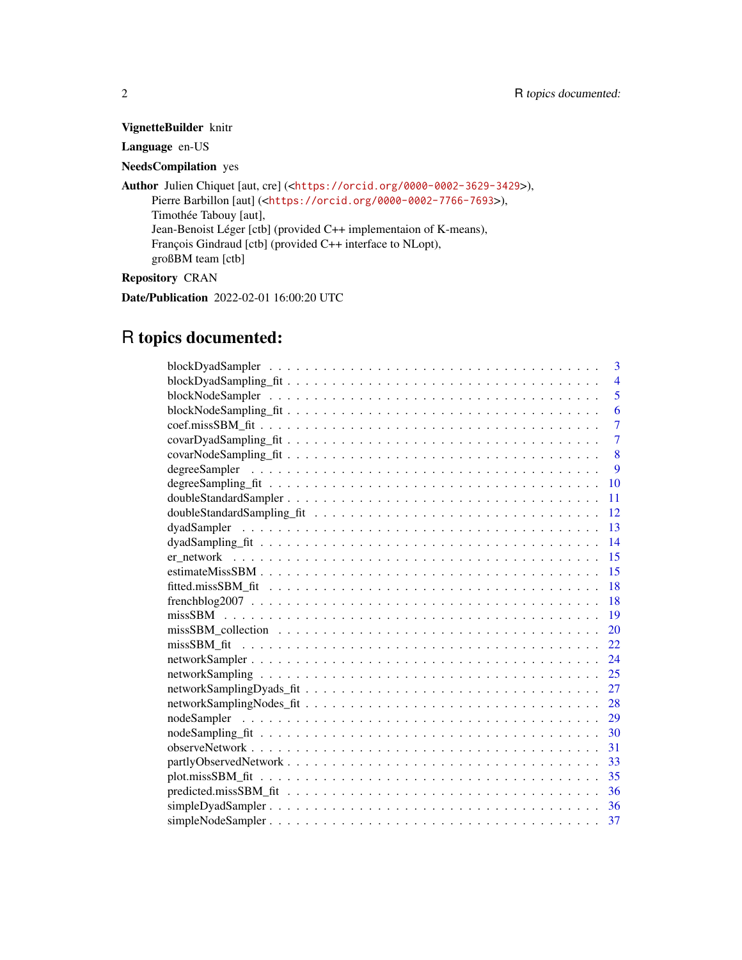# VignetteBuilder knitr

# Language en-US

# NeedsCompilation yes

Author Julien Chiquet [aut, cre] (<<https://orcid.org/0000-0002-3629-3429>>), Pierre Barbillon [aut] (<<https://orcid.org/0000-0002-7766-7693>>), Timothée Tabouy [aut], Jean-Benoist Léger [ctb] (provided C++ implementaion of K-means), François Gindraud [ctb] (provided C++ interface to NLopt), großBM team [ctb]

# Repository CRAN

Date/Publication 2022-02-01 16:00:20 UTC

# R topics documented:

| 3                 |
|-------------------|
| $\overline{4}$    |
| 5                 |
| 6                 |
| $\overline{7}$    |
| $\overline{7}$    |
| 8                 |
| $\mathbf{Q}$      |
| 10                |
| 11                |
| 12                |
| 13                |
| 14                |
| 15                |
| 15                |
| 18                |
| 18                |
| 19                |
| 20                |
| 22                |
| 24                |
| 25                |
| 27                |
| 28                |
| nodeSampler<br>29 |
|                   |
| 31                |
|                   |
|                   |
| -36               |
|                   |
|                   |
|                   |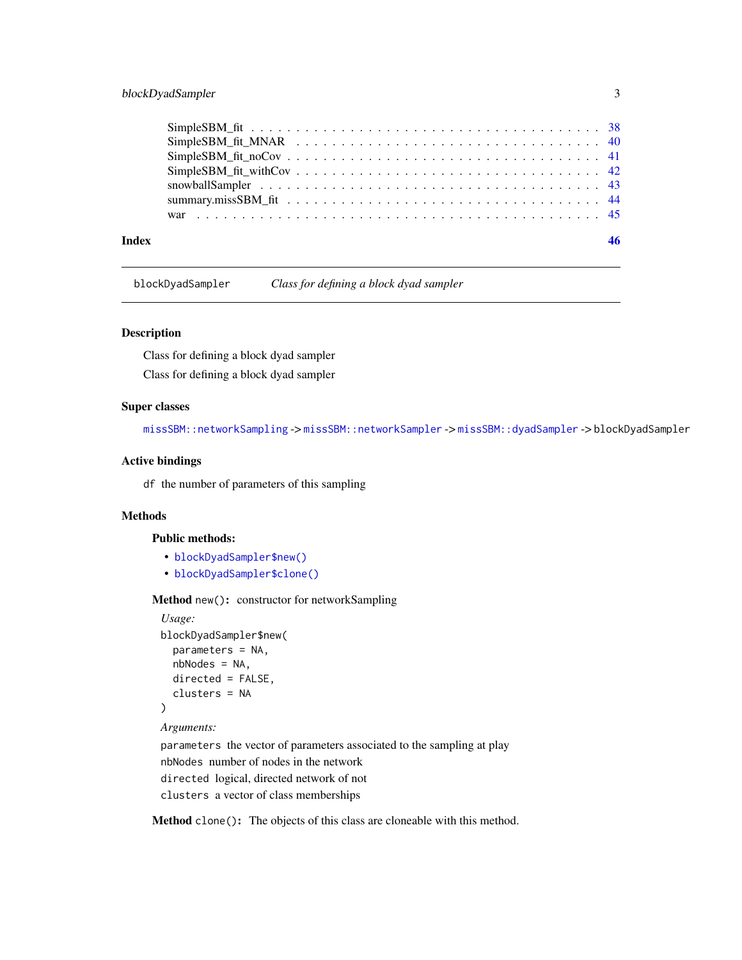# <span id="page-2-0"></span>blockDyadSampler 3

| Index | 46 |
|-------|----|
|       |    |
|       |    |
|       |    |
|       |    |
|       |    |
|       |    |
|       |    |

blockDyadSampler *Class for defining a block dyad sampler*

# Description

Class for defining a block dyad sampler Class for defining a block dyad sampler

# Super classes

[missSBM::networkSampling](#page-0-0) -> [missSBM::networkSampler](#page-0-0) -> [missSBM::dyadSampler](#page-0-0) -> blockDyadSampler

# Active bindings

df the number of parameters of this sampling

# **Methods**

#### Public methods:

- [blockDyadSampler\\$new\(\)](#page-2-1)
- [blockDyadSampler\\$clone\(\)](#page-2-2)

# <span id="page-2-1"></span>Method new(): constructor for networkSampling

```
Usage:
blockDyadSampler$new(
  parameters = NA,
  nbNodes = NA,
  directed = FALSE,
  clusters = NA
)
Arguments:
parameters the vector of parameters associated to the sampling at play
```
nbNodes number of nodes in the network

directed logical, directed network of not

clusters a vector of class memberships

<span id="page-2-2"></span>Method clone(): The objects of this class are cloneable with this method.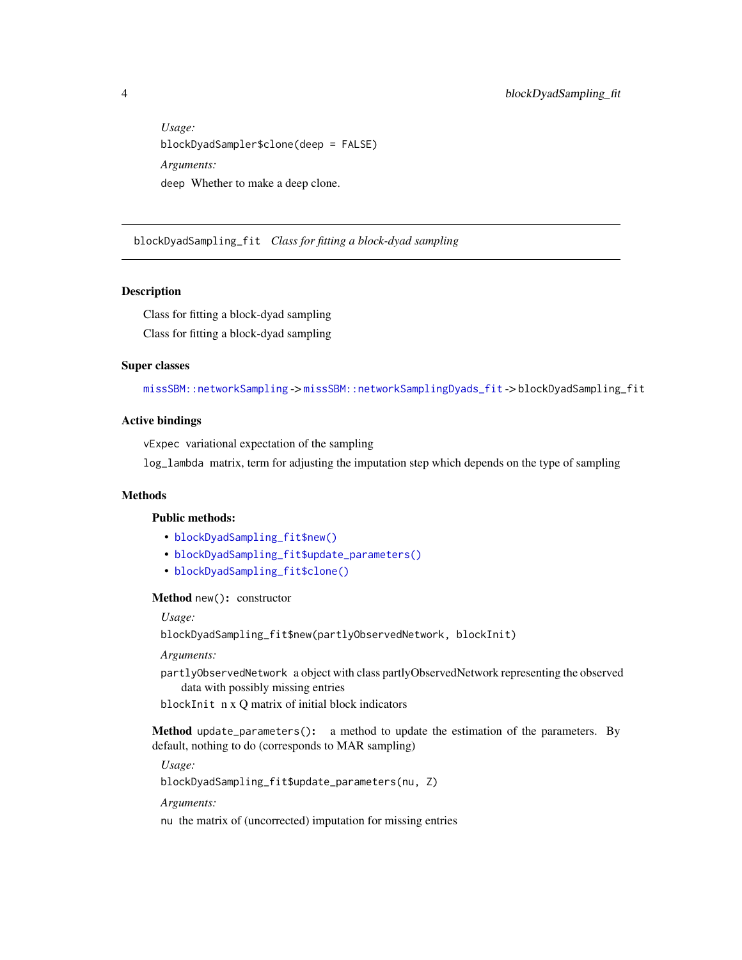<span id="page-3-0"></span>*Usage:* blockDyadSampler\$clone(deep = FALSE) *Arguments:* deep Whether to make a deep clone.

blockDyadSampling\_fit *Class for fitting a block-dyad sampling*

#### Description

Class for fitting a block-dyad sampling Class for fitting a block-dyad sampling

# Super classes

[missSBM::networkSampling](#page-0-0) -> [missSBM::networkSamplingDyads\\_fit](#page-0-0) -> blockDyadSampling\_fit

# Active bindings

vExpec variational expectation of the sampling

log\_lambda matrix, term for adjusting the imputation step which depends on the type of sampling

# Methods

#### Public methods:

- [blockDyadSampling\\_fit\\$new\(\)](#page-2-1)
- [blockDyadSampling\\_fit\\$update\\_parameters\(\)](#page-3-1)
- [blockDyadSampling\\_fit\\$clone\(\)](#page-2-2)

#### Method new(): constructor

*Usage:*

blockDyadSampling\_fit\$new(partlyObservedNetwork, blockInit)

# *Arguments:*

partlyObservedNetwork a object with class partlyObservedNetwork representing the observed data with possibly missing entries

blockInit n x Q matrix of initial block indicators

<span id="page-3-1"></span>Method update\_parameters(): a method to update the estimation of the parameters. By default, nothing to do (corresponds to MAR sampling)

*Usage:*

blockDyadSampling\_fit\$update\_parameters(nu, Z)

*Arguments:*

nu the matrix of (uncorrected) imputation for missing entries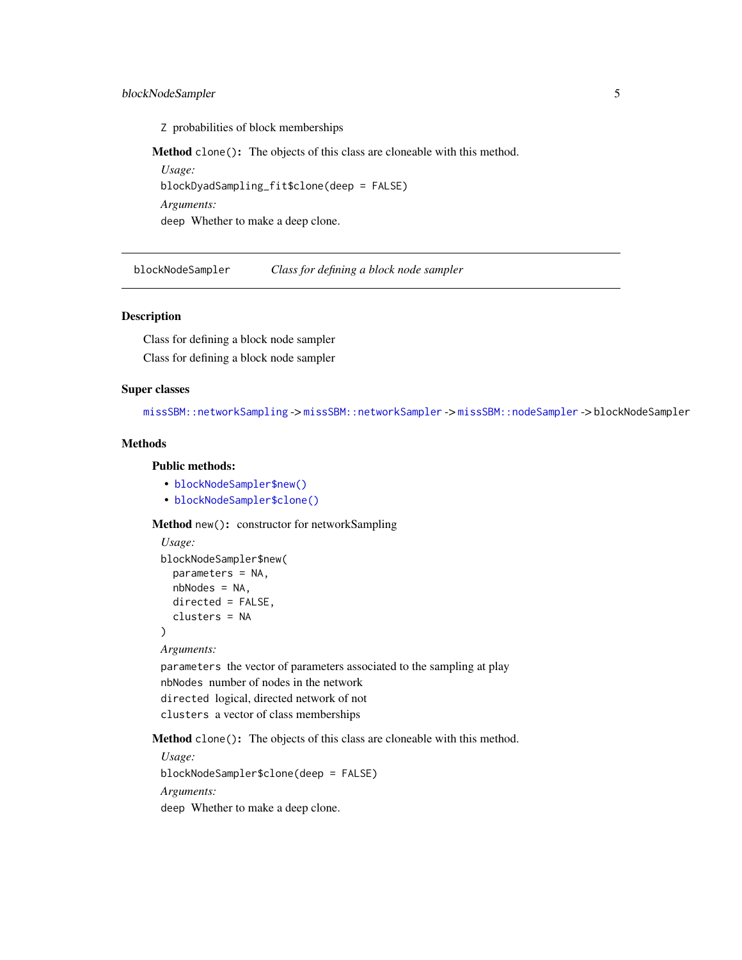# <span id="page-4-0"></span>blockNodeSampler 5

Z probabilities of block memberships

Method clone(): The objects of this class are cloneable with this method.

*Usage:* blockDyadSampling\_fit\$clone(deep = FALSE) *Arguments:* deep Whether to make a deep clone.

blockNodeSampler *Class for defining a block node sampler*

#### Description

Class for defining a block node sampler Class for defining a block node sampler

# Super classes

[missSBM::networkSampling](#page-0-0) -> [missSBM::networkSampler](#page-0-0) -> [missSBM::nodeSampler](#page-0-0) -> blockNodeSampler

# Methods

# Public methods:

- [blockNodeSampler\\$new\(\)](#page-2-1)
- [blockNodeSampler\\$clone\(\)](#page-2-2)

Method new(): constructor for networkSampling

```
Usage:
blockNodeSampler$new(
  parameters = NA,
  nbNodes = NA,
  directed = FALSE,
  clusters = NA
)
Arguments:
parameters the vector of parameters associated to the sampling at play
nbNodes number of nodes in the network
directed logical, directed network of not
```
clusters a vector of class memberships

Method clone(): The objects of this class are cloneable with this method.

*Usage:* blockNodeSampler\$clone(deep = FALSE) *Arguments:* deep Whether to make a deep clone.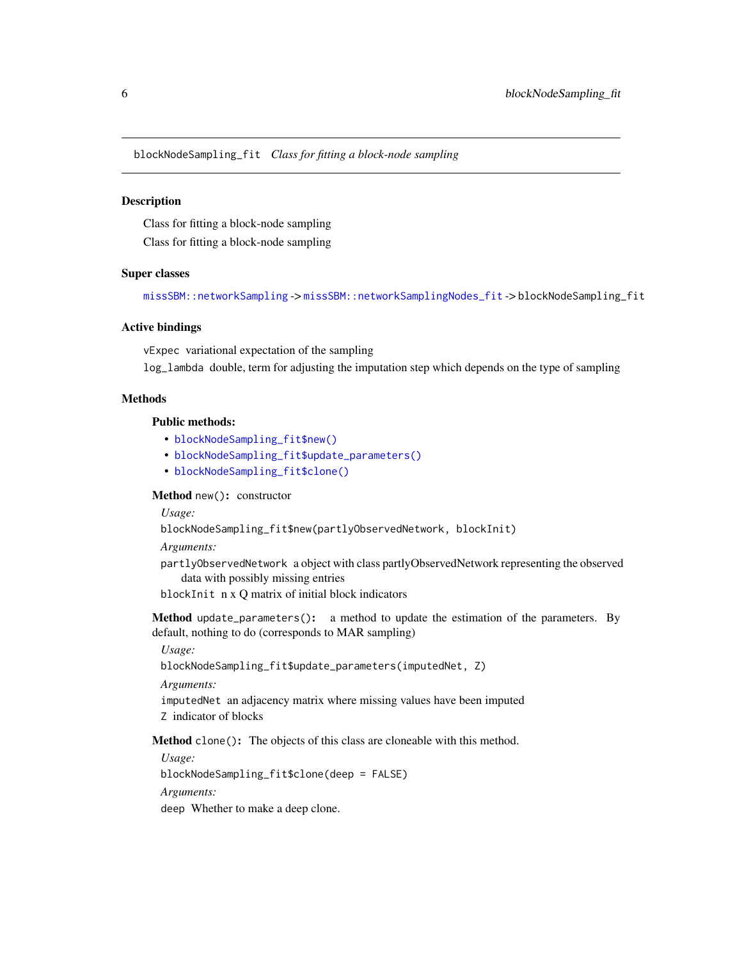<span id="page-5-0"></span>blockNodeSampling\_fit *Class for fitting a block-node sampling*

# **Description**

Class for fitting a block-node sampling

Class for fitting a block-node sampling

# Super classes

[missSBM::networkSampling](#page-0-0) -> [missSBM::networkSamplingNodes\\_fit](#page-0-0) -> blockNodeSampling\_fit

# Active bindings

vExpec variational expectation of the sampling

log\_lambda double, term for adjusting the imputation step which depends on the type of sampling

# Methods

Public methods:

- [blockNodeSampling\\_fit\\$new\(\)](#page-2-1)
- [blockNodeSampling\\_fit\\$update\\_parameters\(\)](#page-3-1)
- [blockNodeSampling\\_fit\\$clone\(\)](#page-2-2)

Method new(): constructor

*Usage:*

blockNodeSampling\_fit\$new(partlyObservedNetwork, blockInit)

*Arguments:*

partlyObservedNetwork a object with class partlyObservedNetwork representing the observed data with possibly missing entries

blockInit n x Q matrix of initial block indicators

Method update\_parameters(): a method to update the estimation of the parameters. By default, nothing to do (corresponds to MAR sampling)

*Usage:*

blockNodeSampling\_fit\$update\_parameters(imputedNet, Z)

*Arguments:*

imputedNet an adjacency matrix where missing values have been imputed Z indicator of blocks

Method clone(): The objects of this class are cloneable with this method.

*Usage:*

blockNodeSampling\_fit\$clone(deep = FALSE)

*Arguments:*

deep Whether to make a deep clone.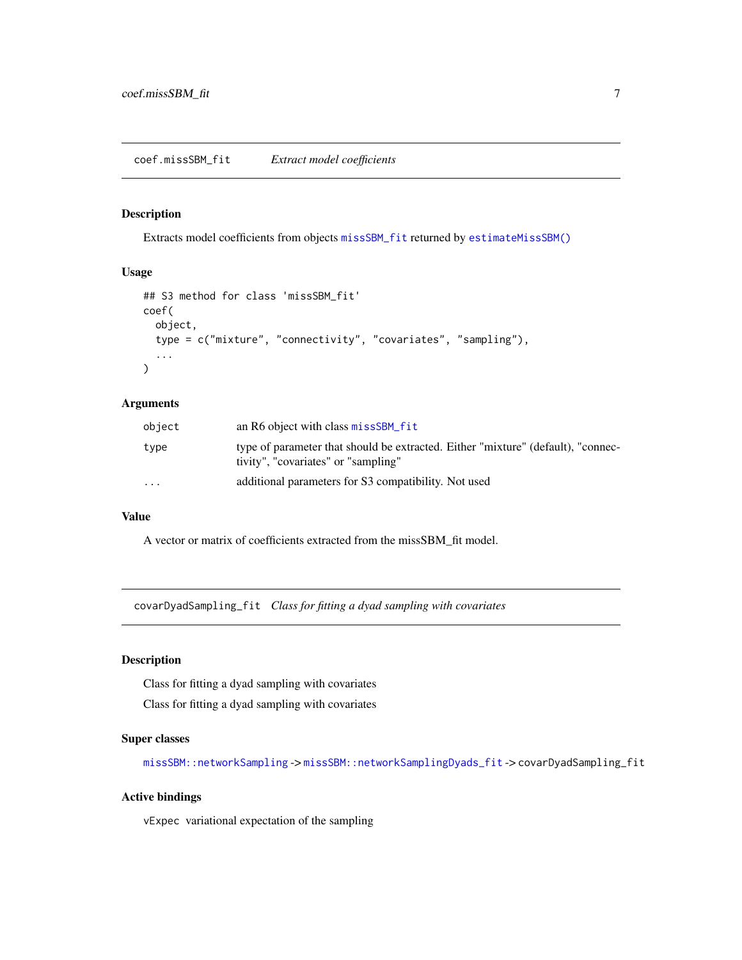# <span id="page-6-0"></span>Description

Extracts model coefficients from objects [missSBM\\_fit](#page-21-1) returned by [estimateMissSBM\(\)](#page-14-1)

# Usage

```
## S3 method for class 'missSBM_fit'
coef(
  object,
  type = c("mixture", "connectivity", "covariates", "sampling"),
  ...
)
```
# Arguments

| object   | an R6 object with class missSBM fit                                                                                     |
|----------|-------------------------------------------------------------------------------------------------------------------------|
| type     | type of parameter that should be extracted. Either "mixture" (default), "connec-<br>tivity", "covariates" or "sampling" |
| $\cdots$ | additional parameters for S3 compatibility. Not used                                                                    |

# Value

A vector or matrix of coefficients extracted from the missSBM\_fit model.

covarDyadSampling\_fit *Class for fitting a dyad sampling with covariates*

# Description

Class for fitting a dyad sampling with covariates

Class for fitting a dyad sampling with covariates

# Super classes

[missSBM::networkSampling](#page-0-0) -> [missSBM::networkSamplingDyads\\_fit](#page-0-0) -> covarDyadSampling\_fit

# Active bindings

vExpec variational expectation of the sampling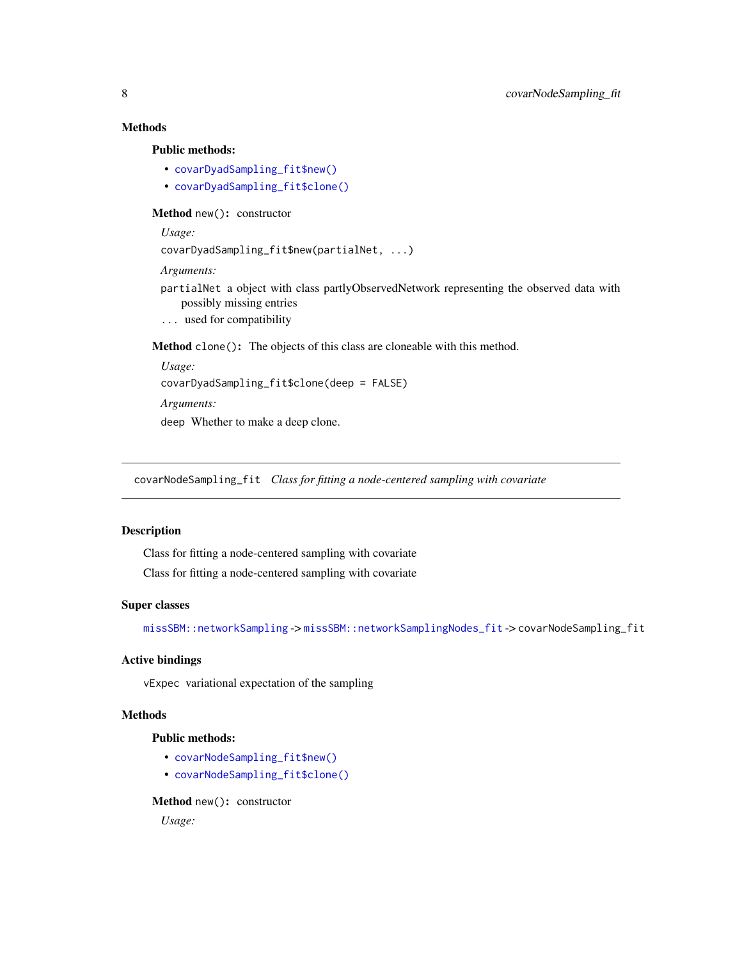# <span id="page-7-0"></span>Methods

#### Public methods:

- [covarDyadSampling\\_fit\\$new\(\)](#page-2-1)
- [covarDyadSampling\\_fit\\$clone\(\)](#page-2-2)

# Method new(): constructor

*Usage:*

```
covarDyadSampling_fit$new(partialNet, ...)
```
#### *Arguments:*

- partialNet a object with class partlyObservedNetwork representing the observed data with possibly missing entries
- ... used for compatibility

Method clone(): The objects of this class are cloneable with this method.

```
Usage:
covarDyadSampling_fit$clone(deep = FALSE)
Arguments:
deep Whether to make a deep clone.
```
covarNodeSampling\_fit *Class for fitting a node-centered sampling with covariate*

# Description

Class for fitting a node-centered sampling with covariate Class for fitting a node-centered sampling with covariate

#### Super classes

[missSBM::networkSampling](#page-0-0) -> [missSBM::networkSamplingNodes\\_fit](#page-0-0) -> covarNodeSampling\_fit

# Active bindings

vExpec variational expectation of the sampling

# Methods

# Public methods:

- [covarNodeSampling\\_fit\\$new\(\)](#page-2-1)
- [covarNodeSampling\\_fit\\$clone\(\)](#page-2-2)

Method new(): constructor

*Usage:*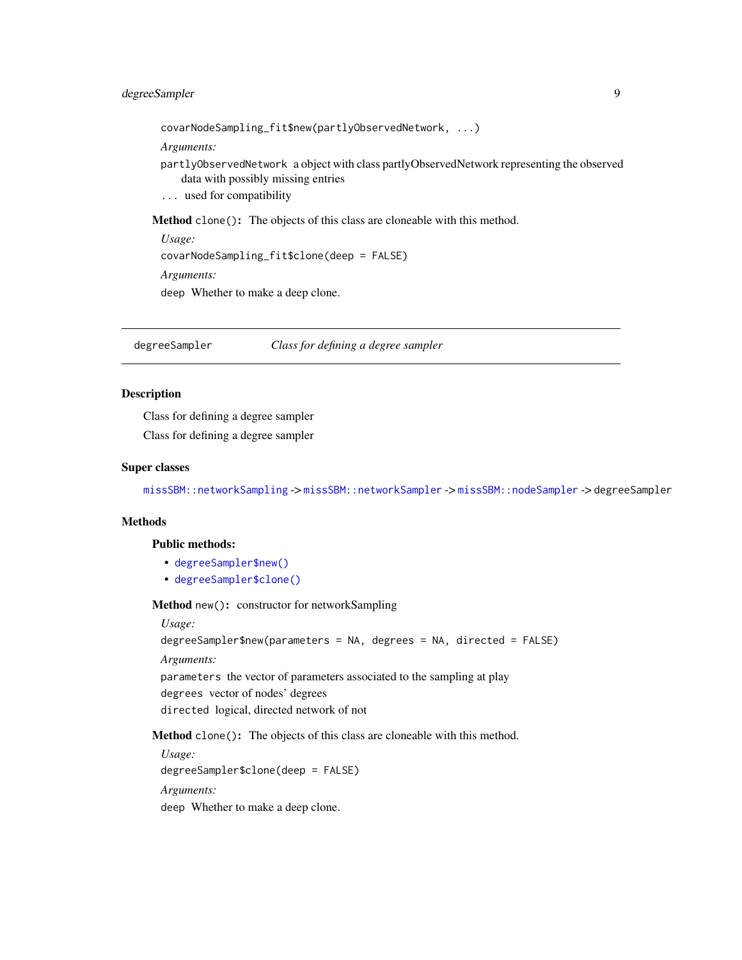# <span id="page-8-0"></span>degreeSampler 9

covarNodeSampling\_fit\$new(partlyObservedNetwork, ...)

*Arguments:*

- partlyObservedNetwork a object with class partlyObservedNetwork representing the observed data with possibly missing entries
- ... used for compatibility

Method clone(): The objects of this class are cloneable with this method.

*Usage:* covarNodeSampling\_fit\$clone(deep = FALSE)

*Arguments:*

deep Whether to make a deep clone.

degreeSampler *Class for defining a degree sampler*

# Description

Class for defining a degree sampler Class for defining a degree sampler

#### Super classes

[missSBM::networkSampling](#page-0-0) -> [missSBM::networkSampler](#page-0-0) -> [missSBM::nodeSampler](#page-0-0) -> degreeSampler

# Methods

#### Public methods:

- [degreeSampler\\$new\(\)](#page-2-1)
- [degreeSampler\\$clone\(\)](#page-2-2)

Method new(): constructor for networkSampling

#### *Usage:*

degreeSampler\$new(parameters = NA, degrees = NA, directed = FALSE)

*Arguments:*

parameters the vector of parameters associated to the sampling at play degrees vector of nodes' degrees directed logical, directed network of not

Method clone(): The objects of this class are cloneable with this method.

*Usage:* degreeSampler\$clone(deep = FALSE) *Arguments:*

deep Whether to make a deep clone.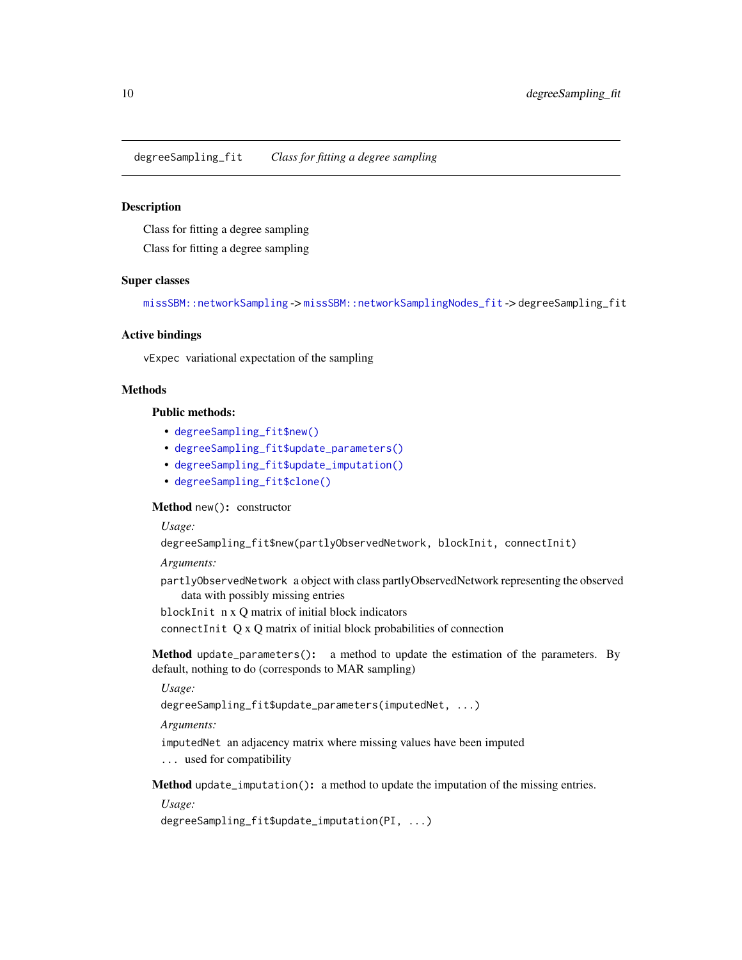<span id="page-9-0"></span>degreeSampling\_fit *Class for fitting a degree sampling*

# Description

Class for fitting a degree sampling

Class for fitting a degree sampling

## Super classes

[missSBM::networkSampling](#page-0-0) -> [missSBM::networkSamplingNodes\\_fit](#page-0-0) -> degreeSampling\_fit

#### Active bindings

vExpec variational expectation of the sampling

# Methods

#### Public methods:

- [degreeSampling\\_fit\\$new\(\)](#page-2-1)
- [degreeSampling\\_fit\\$update\\_parameters\(\)](#page-3-1)
- [degreeSampling\\_fit\\$update\\_imputation\(\)](#page-9-1)
- [degreeSampling\\_fit\\$clone\(\)](#page-2-2)

#### Method new(): constructor

*Usage:*

degreeSampling\_fit\$new(partlyObservedNetwork, blockInit, connectInit)

*Arguments:*

partlyObservedNetwork a object with class partlyObservedNetwork representing the observed data with possibly missing entries

blockInit n x Q matrix of initial block indicators

connectInit Q x Q matrix of initial block probabilities of connection

Method update\_parameters(): a method to update the estimation of the parameters. By default, nothing to do (corresponds to MAR sampling)

# *Usage:*

degreeSampling\_fit\$update\_parameters(imputedNet, ...)

*Arguments:*

imputedNet an adjacency matrix where missing values have been imputed

... used for compatibility

<span id="page-9-1"></span>Method update\_imputation(): a method to update the imputation of the missing entries.

*Usage:*

degreeSampling\_fit\$update\_imputation(PI, ...)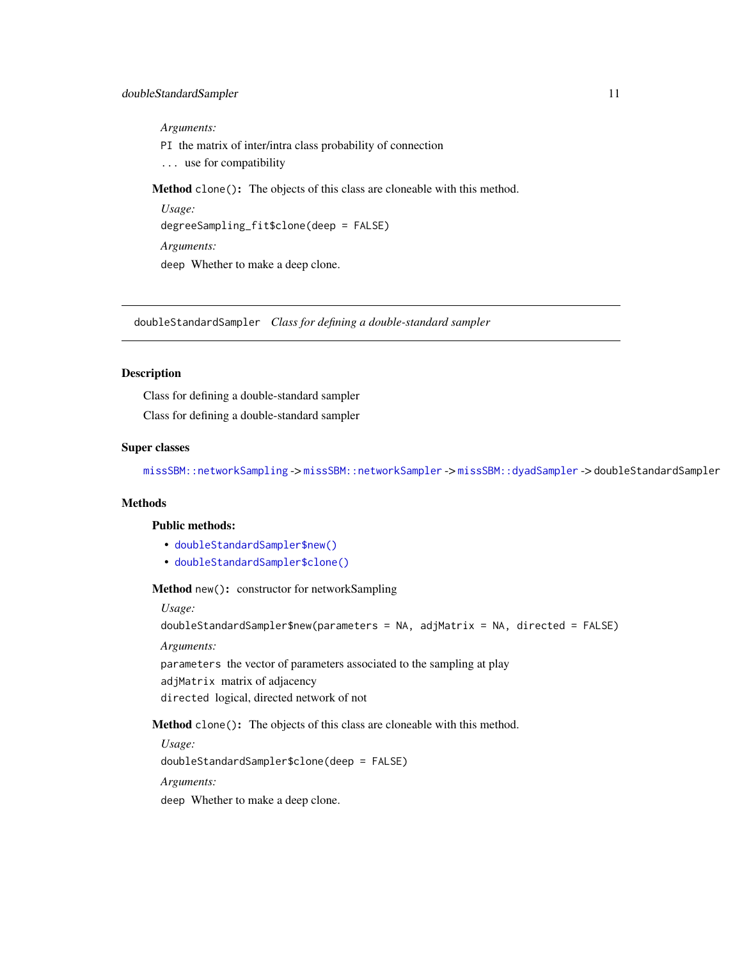<span id="page-10-0"></span>*Arguments:*

PI the matrix of inter/intra class probability of connection

... use for compatibility

Method clone(): The objects of this class are cloneable with this method.

```
Usage:
degreeSampling_fit$clone(deep = FALSE)
Arguments:
deep Whether to make a deep clone.
```
doubleStandardSampler *Class for defining a double-standard sampler*

# Description

Class for defining a double-standard sampler Class for defining a double-standard sampler

#### Super classes

[missSBM::networkSampling](#page-0-0) -> [missSBM::networkSampler](#page-0-0) -> [missSBM::dyadSampler](#page-0-0) -> doubleStandardSampler

# **Methods**

#### Public methods:

- [doubleStandardSampler\\$new\(\)](#page-2-1)
- [doubleStandardSampler\\$clone\(\)](#page-2-2)

Method new(): constructor for networkSampling

#### *Usage:*

```
doubleStandardSampler$new(parameters = NA, adjMatrix = NA, directed = FALSE)
```
*Arguments:*

parameters the vector of parameters associated to the sampling at play

adjMatrix matrix of adjacency

directed logical, directed network of not

Method clone(): The objects of this class are cloneable with this method.

*Usage:* doubleStandardSampler\$clone(deep = FALSE) *Arguments:* deep Whether to make a deep clone.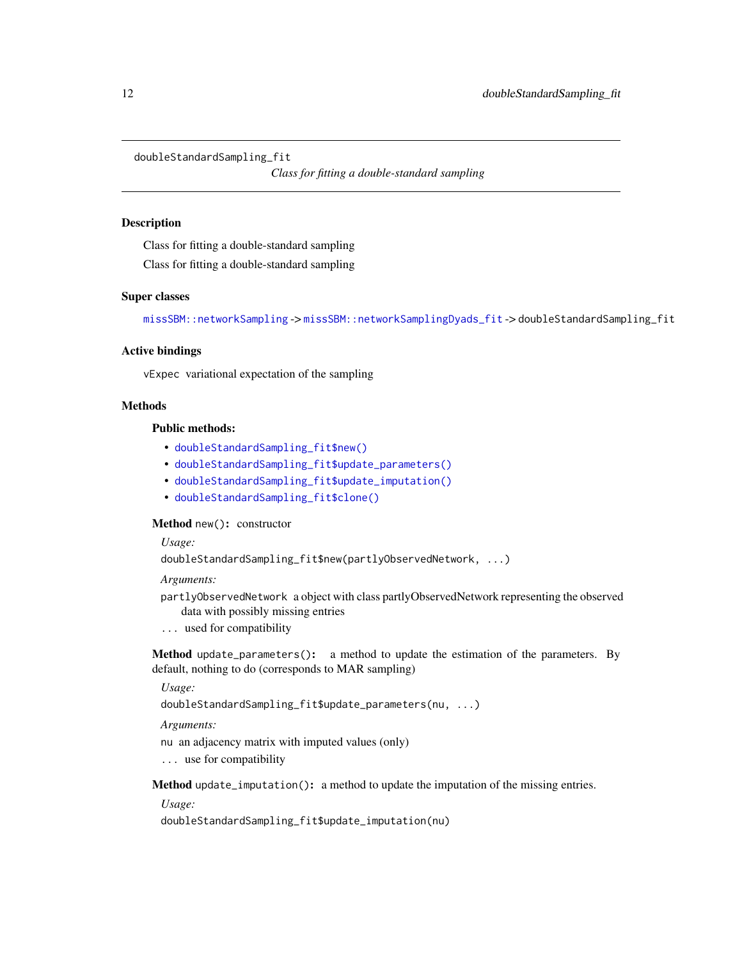<span id="page-11-0"></span>doubleStandardSampling\_fit

*Class for fitting a double-standard sampling*

#### Description

Class for fitting a double-standard sampling

Class for fitting a double-standard sampling

#### Super classes

[missSBM::networkSampling](#page-0-0) -> [missSBM::networkSamplingDyads\\_fit](#page-0-0) -> doubleStandardSampling\_fit

# Active bindings

vExpec variational expectation of the sampling

# Methods

#### Public methods:

- [doubleStandardSampling\\_fit\\$new\(\)](#page-2-1)
- [doubleStandardSampling\\_fit\\$update\\_parameters\(\)](#page-3-1)
- [doubleStandardSampling\\_fit\\$update\\_imputation\(\)](#page-9-1)
- [doubleStandardSampling\\_fit\\$clone\(\)](#page-2-2)

#### Method new(): constructor

#### *Usage:*

doubleStandardSampling\_fit\$new(partlyObservedNetwork, ...)

*Arguments:*

- partlyObservedNetwork a object with class partlyObservedNetwork representing the observed data with possibly missing entries
- ... used for compatibility

Method update\_parameters(): a method to update the estimation of the parameters. By default, nothing to do (corresponds to MAR sampling)

# *Usage:*

```
doubleStandardSampling_fit$update_parameters(nu, ...)
```
*Arguments:*

nu an adjacency matrix with imputed values (only)

... use for compatibility

Method update\_imputation(): a method to update the imputation of the missing entries.

*Usage:*

doubleStandardSampling\_fit\$update\_imputation(nu)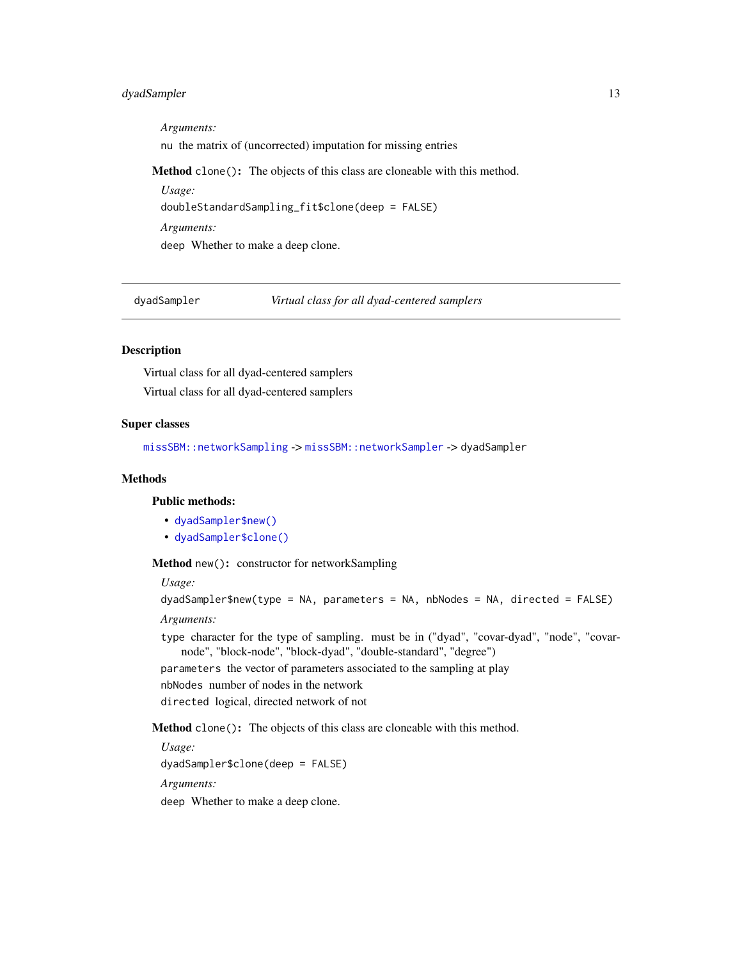# <span id="page-12-0"></span>dyadSampler 13

*Arguments:* nu the matrix of (uncorrected) imputation for missing entries Method clone(): The objects of this class are cloneable with this method. *Usage:* doubleStandardSampling\_fit\$clone(deep = FALSE) *Arguments:*

deep Whether to make a deep clone.

dyadSampler *Virtual class for all dyad-centered samplers*

# Description

Virtual class for all dyad-centered samplers Virtual class for all dyad-centered samplers

# Super classes

[missSBM::networkSampling](#page-0-0) -> [missSBM::networkSampler](#page-0-0) -> dyadSampler

# Methods

# Public methods:

- [dyadSampler\\$new\(\)](#page-2-1)
- [dyadSampler\\$clone\(\)](#page-2-2)

Method new(): constructor for networkSampling

*Usage:*

```
dyadSampler$new(type = NA, parameters = NA, nbNodes = NA, directed = FALSE)
```
*Arguments:*

type character for the type of sampling. must be in ("dyad", "covar-dyad", "node", "covarnode", "block-node", "block-dyad", "double-standard", "degree")

parameters the vector of parameters associated to the sampling at play

nbNodes number of nodes in the network

directed logical, directed network of not

Method clone(): The objects of this class are cloneable with this method.

*Usage:* dyadSampler\$clone(deep = FALSE) *Arguments:*

deep Whether to make a deep clone.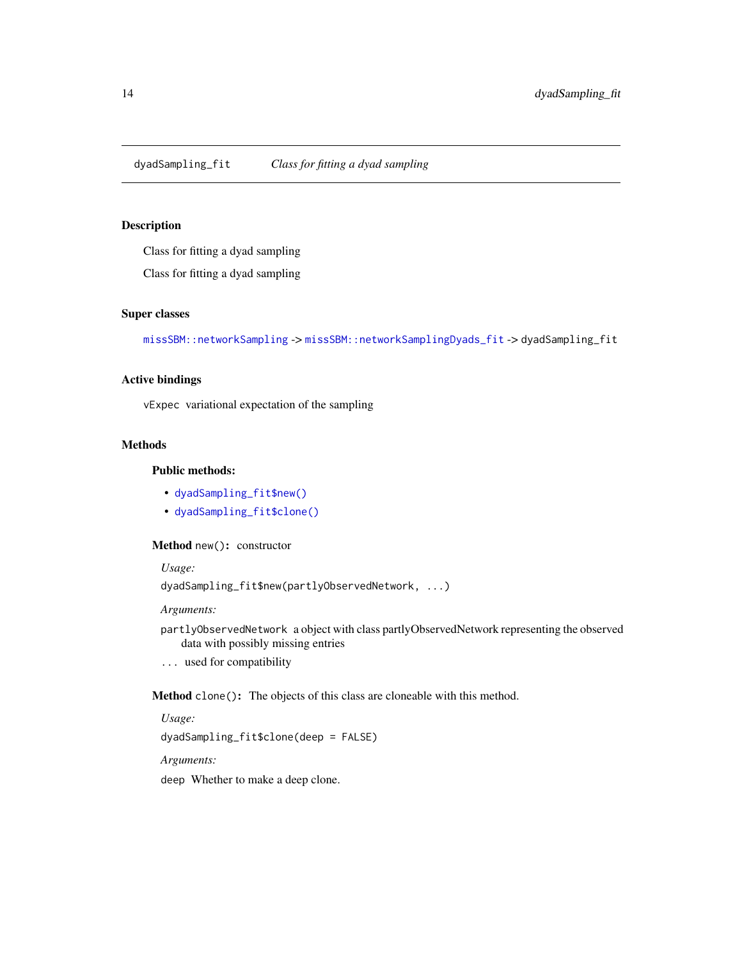<span id="page-13-0"></span>dyadSampling\_fit *Class for fitting a dyad sampling*

# Description

Class for fitting a dyad sampling

Class for fitting a dyad sampling

# Super classes

[missSBM::networkSampling](#page-0-0) -> [missSBM::networkSamplingDyads\\_fit](#page-0-0) -> dyadSampling\_fit

# Active bindings

vExpec variational expectation of the sampling

#### Methods

# Public methods:

- [dyadSampling\\_fit\\$new\(\)](#page-2-1)
- [dyadSampling\\_fit\\$clone\(\)](#page-2-2)

# Method new(): constructor

*Usage:*

dyadSampling\_fit\$new(partlyObservedNetwork, ...)

*Arguments:*

partlyObservedNetwork a object with class partlyObservedNetwork representing the observed data with possibly missing entries

... used for compatibility

Method clone(): The objects of this class are cloneable with this method.

*Usage:*

dyadSampling\_fit\$clone(deep = FALSE)

*Arguments:*

deep Whether to make a deep clone.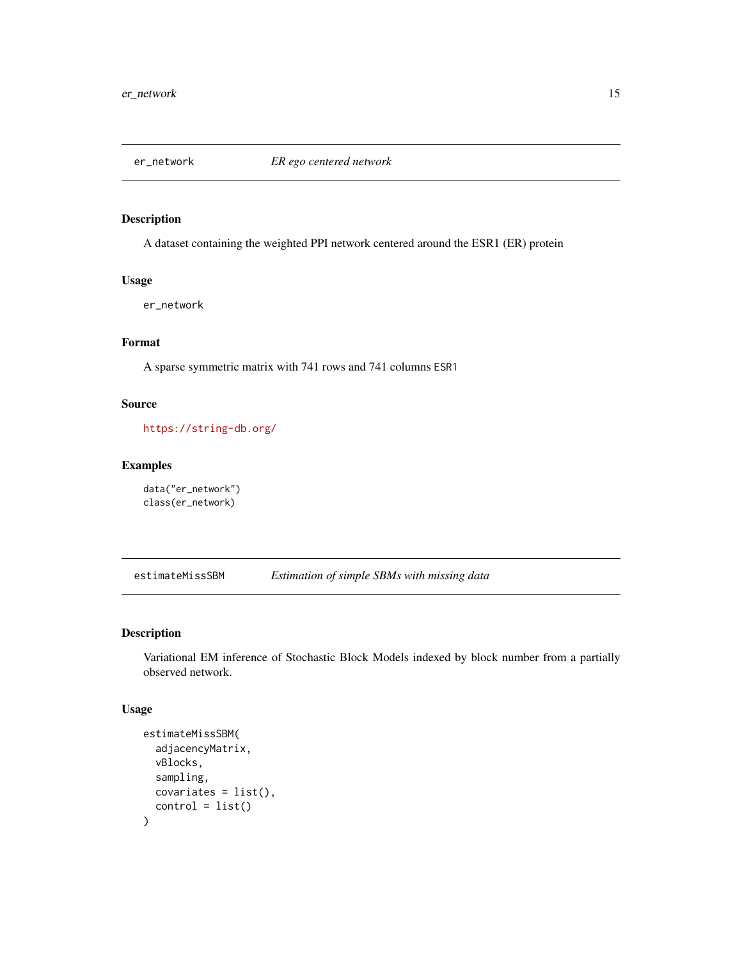<span id="page-14-0"></span>

# Description

A dataset containing the weighted PPI network centered around the ESR1 (ER) protein

# Usage

er\_network

# Format

A sparse symmetric matrix with 741 rows and 741 columns ESR1

# Source

<https://string-db.org/>

# Examples

```
data("er_network")
class(er_network)
```
<span id="page-14-1"></span>estimateMissSBM *Estimation of simple SBMs with missing data*

# Description

Variational EM inference of Stochastic Block Models indexed by block number from a partially observed network.

#### Usage

```
estimateMissSBM(
  adjacencyMatrix,
  vBlocks,
  sampling,
  covariates = list(),control = list()\mathcal{E}
```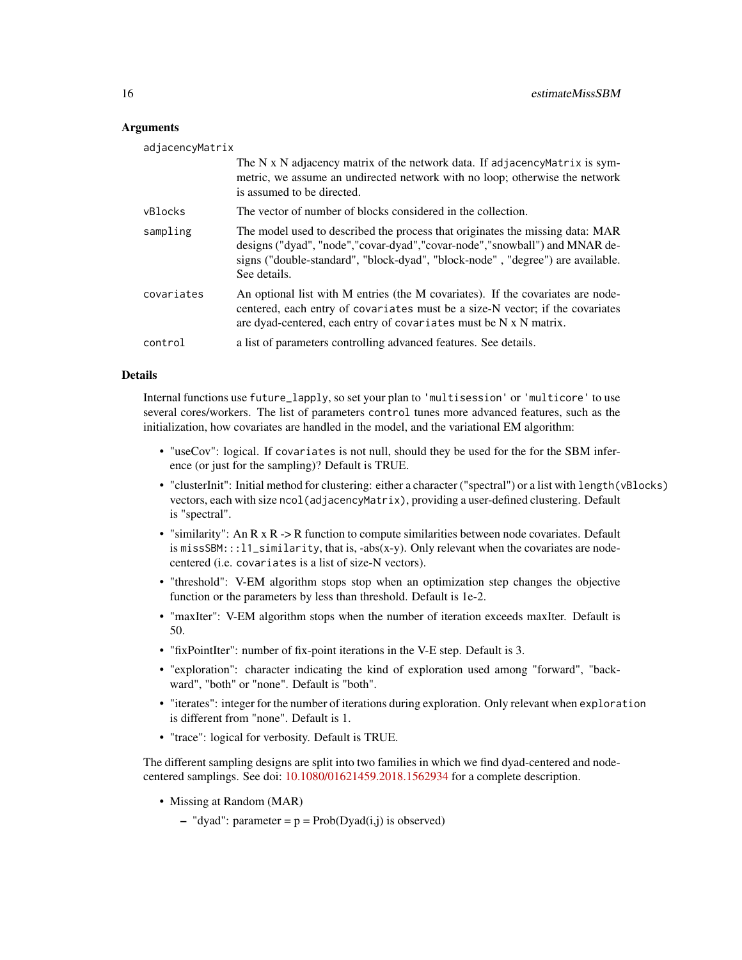#### Arguments

| adjacencyMatrix |                                                                                                                                                                                                                                                                  |
|-----------------|------------------------------------------------------------------------------------------------------------------------------------------------------------------------------------------------------------------------------------------------------------------|
|                 | The N x N adjacency matrix of the network data. If adjacency Matrix is sym-<br>metric, we assume an undirected network with no loop; otherwise the network<br>is assumed to be directed.                                                                         |
| vBlocks         | The vector of number of blocks considered in the collection.                                                                                                                                                                                                     |
| sampling        | The model used to described the process that originates the missing data: MAR<br>designs ("dyad", "node", "covar-dyad", "covar-node", "snowball") and MNAR de-<br>signs ("double-standard", "block-dyad", "block-node", "degree") are available.<br>See details. |
| covariates      | An optional list with M entries (the M covariates). If the covariates are node-<br>centered, each entry of covariates must be a size-N vector; if the covariates<br>are dyad-centered, each entry of covariates must be N x N matrix.                            |
| control         | a list of parameters controlling advanced features. See details.                                                                                                                                                                                                 |

# Details

Internal functions use future\_lapply, so set your plan to 'multisession' or 'multicore' to use several cores/workers. The list of parameters control tunes more advanced features, such as the initialization, how covariates are handled in the model, and the variational EM algorithm:

- "useCov": logical. If covariates is not null, should they be used for the for the SBM inference (or just for the sampling)? Default is TRUE.
- "clusterInit": Initial method for clustering: either a character ("spectral") or a list with length(vBlocks) vectors, each with size ncol(adjacencyMatrix), providing a user-defined clustering. Default is "spectral".
- "similarity": An R x R -> R function to compute similarities between node covariates. Default is missSBM::: $l_1$ similarity, that is, -abs(x-y). Only relevant when the covariates are nodecentered (i.e. covariates is a list of size-N vectors).
- "threshold": V-EM algorithm stops stop when an optimization step changes the objective function or the parameters by less than threshold. Default is 1e-2.
- "maxIter": V-EM algorithm stops when the number of iteration exceeds maxIter. Default is 50.
- "fixPointIter": number of fix-point iterations in the V-E step. Default is 3.
- "exploration": character indicating the kind of exploration used among "forward", "backward", "both" or "none". Default is "both".
- "iterates": integer for the number of iterations during exploration. Only relevant when exploration is different from "none". Default is 1.
- "trace": logical for verbosity. Default is TRUE.

The different sampling designs are split into two families in which we find dyad-centered and nodecentered samplings. See doi: [10.1080/01621459.2018.1562934](https://doi.org/10.1080/01621459.2018.1562934) for a complete description.

- Missing at Random (MAR)
	- "dyad": parameter =  $p = Prob(Dyad(i,j))$  is observed)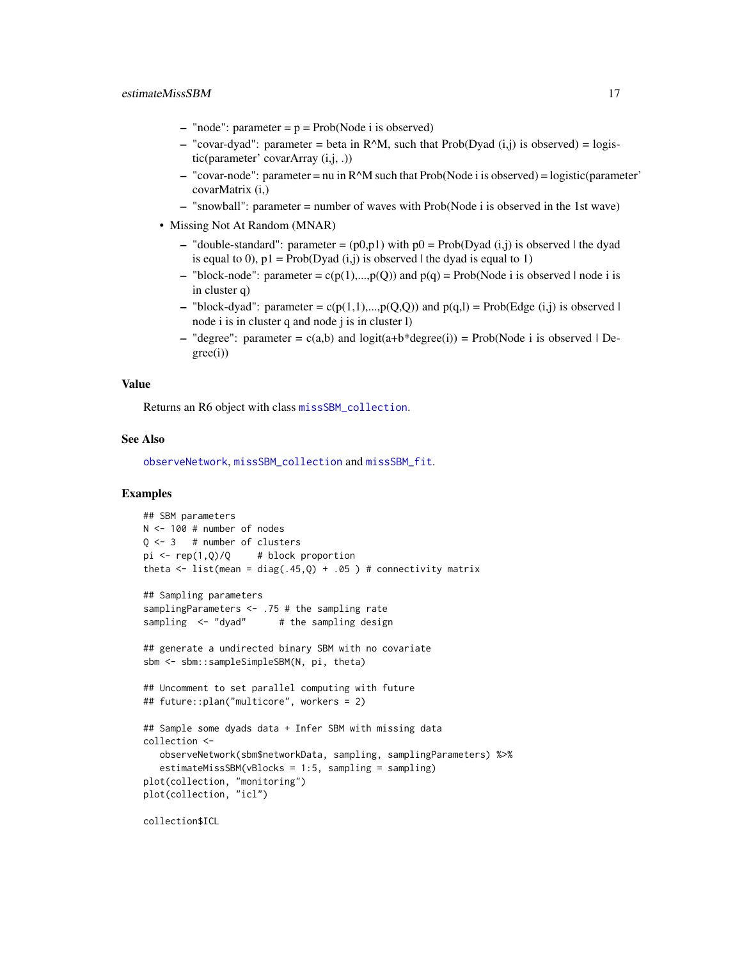- <span id="page-16-0"></span>– "node": parameter =  $p = Prob(Node i is observed)$
- "covar-dyad": parameter = beta in R^M, such that Prob(Dyad  $(i,j)$  is observed) = logistic(parameter' covarArray (i,j, .))
- $-$  "covar-node": parameter = nu in R $\triangle M$  such that Prob(Node i is observed) = logistic(parameter' covarMatrix (i,)
- "snowball": parameter = number of waves with Prob(Node i is observed in the 1st wave)
- Missing Not At Random (MNAR)
	- "double-standard": parameter =  $(p0,p1)$  with  $p0 = Prob(Dyad (i,j))$  is observed | the dyad is equal to 0),  $p1 = Prob(Dyad (i,j))$  is observed l the dyad is equal to 1)
	- "block-node": parameter = c(p(1),...,p(Q)) and p(q) = Prob(Node i is observed | node i is in cluster q)
	- "block-dyad": parameter =  $c(p(1,1),...,p(Q,Q))$  and  $p(q,l)$  = Prob(Edge (i,j) is observed | node i is in cluster q and node j is in cluster l)
	- "degree": parameter =  $c(a,b)$  and  $logit(a+b*)degree(i)) = Prob(Node i is observed | De$ gree(i))

#### Value

Returns an R6 object with class [missSBM\\_collection](#page-19-1).

# See Also

[observeNetwork](#page-30-1), [missSBM\\_collection](#page-19-1) and [missSBM\\_fit](#page-21-1).

# Examples

```
## SBM parameters
N <- 100 # number of nodes
Q \le -3 # number of clusters
pi \leftarrow rep(1, Q)/Q # block proportion
theta \le list(mean = diag(.45,Q) + .05 ) # connectivity matrix
## Sampling parameters
samplingParameters <- .75 # the sampling rate
sampling \leq "dyad" # the sampling design
## generate a undirected binary SBM with no covariate
sbm <- sbm::sampleSimpleSBM(N, pi, theta)
## Uncomment to set parallel computing with future
## future::plan("multicore", workers = 2)
## Sample some dyads data + Infer SBM with missing data
collection <-
   observeNetwork(sbm$networkData, sampling, samplingParameters) %>%
   estimateMissSBM(vBlocks = 1:5, sampling = sampling)
plot(collection, "monitoring")
plot(collection, "icl")
```
collection\$ICL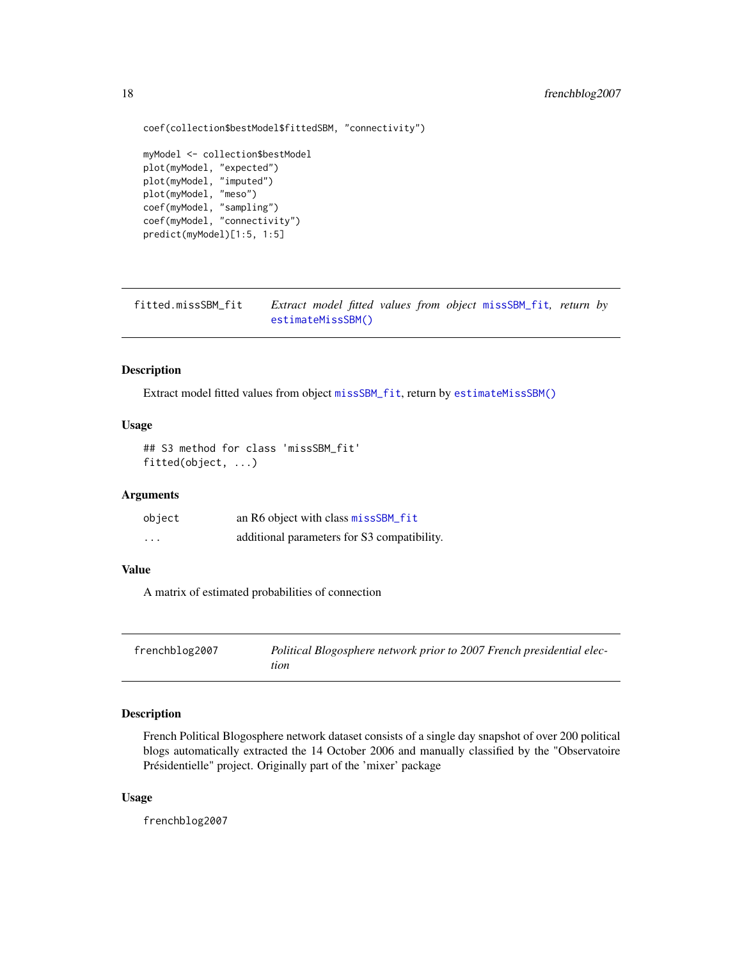```
coef(collection$bestModel$fittedSBM, "connectivity")
myModel <- collection$bestModel
plot(myModel, "expected")
plot(myModel, "imputed")
plot(myModel, "meso")
coef(myModel, "sampling")
coef(myModel, "connectivity")
predict(myModel)[1:5, 1:5]
```
fitted.missSBM\_fit *Extract model fitted values from object* [missSBM\\_fit](#page-21-1)*, return by* [estimateMissSBM\(\)](#page-14-1)

# Description

Extract model fitted values from object [missSBM\\_fit](#page-21-1), return by [estimateMissSBM\(\)](#page-14-1)

# Usage

```
## S3 method for class 'missSBM_fit'
fitted(object, ...)
```
#### Arguments

| object                  | an R6 object with class missSBM_fit         |
|-------------------------|---------------------------------------------|
| $\cdot$ $\cdot$ $\cdot$ | additional parameters for S3 compatibility. |

#### Value

A matrix of estimated probabilities of connection

| frenchblog2007 | Political Blogosphere network prior to 2007 French presidential elec- |
|----------------|-----------------------------------------------------------------------|
|                | tion                                                                  |

# Description

French Political Blogosphere network dataset consists of a single day snapshot of over 200 political blogs automatically extracted the 14 October 2006 and manually classified by the "Observatoire Présidentielle" project. Originally part of the 'mixer' package

### Usage

frenchblog2007

<span id="page-17-0"></span>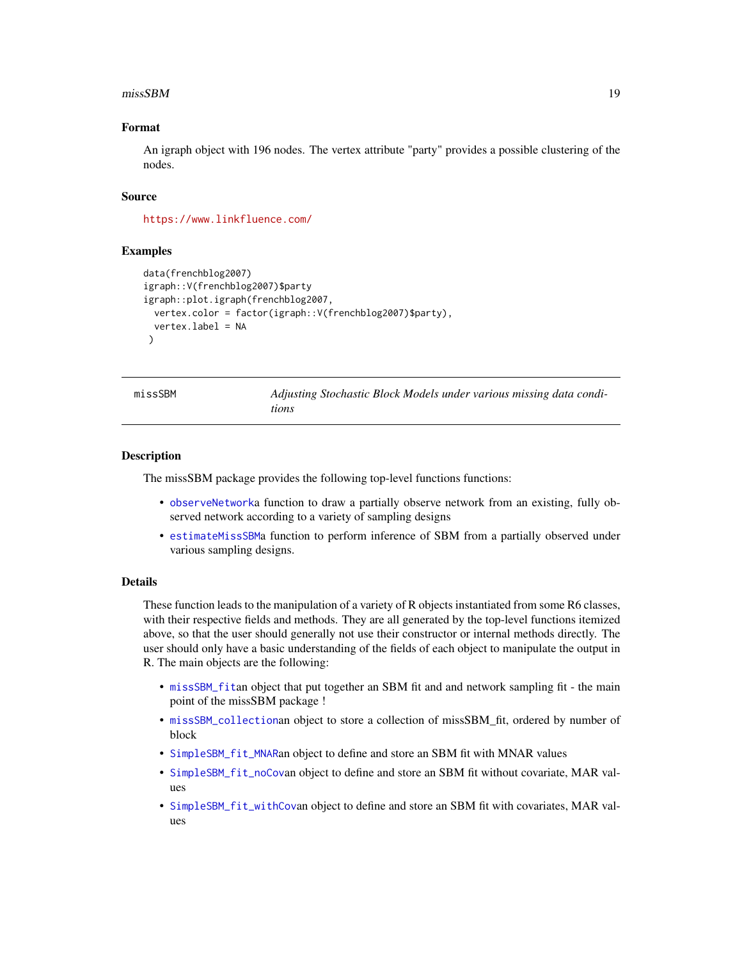#### <span id="page-18-0"></span> $\mu$ miss $SBM$  19

# Format

An igraph object with 196 nodes. The vertex attribute "party" provides a possible clustering of the nodes.

#### Source

<https://www.linkfluence.com/>

# Examples

```
data(frenchblog2007)
igraph::V(frenchblog2007)$party
igraph::plot.igraph(frenchblog2007,
 vertex.color = factor(igraph::V(frenchblog2007)$party),
 vertex.label = NA
 )
```

| missSBM |  |
|---------|--|
|         |  |

Adjusting Stochastic Block Models under various missing data condi*tions*

#### **Description**

The missSBM package provides the following top-level functions functions:

- [observeNetwork](#page-30-1)a function to draw a partially observe network from an existing, fully observed network according to a variety of sampling designs
- [estimateMissSBM](#page-14-1)a function to perform inference of SBM from a partially observed under various sampling designs.

#### Details

These function leads to the manipulation of a variety of R objects instantiated from some R6 classes, with their respective fields and methods. They are all generated by the top-level functions itemized above, so that the user should generally not use their constructor or internal methods directly. The user should only have a basic understanding of the fields of each object to manipulate the output in R. The main objects are the following:

- [missSBM\\_fit](#page-21-1)an object that put together an SBM fit and and network sampling fit the main point of the missSBM package !
- [missSBM\\_collection](#page-19-1)an object to store a collection of missSBM\_fit, ordered by number of block
- [SimpleSBM\\_fit\\_MNAR](#page-39-1)an object to define and store an SBM fit with MNAR values
- [SimpleSBM\\_fit\\_noCov](#page-40-1)an object to define and store an SBM fit without covariate, MAR values
- [SimpleSBM\\_fit\\_withCov](#page-41-1)an object to define and store an SBM fit with covariates, MAR values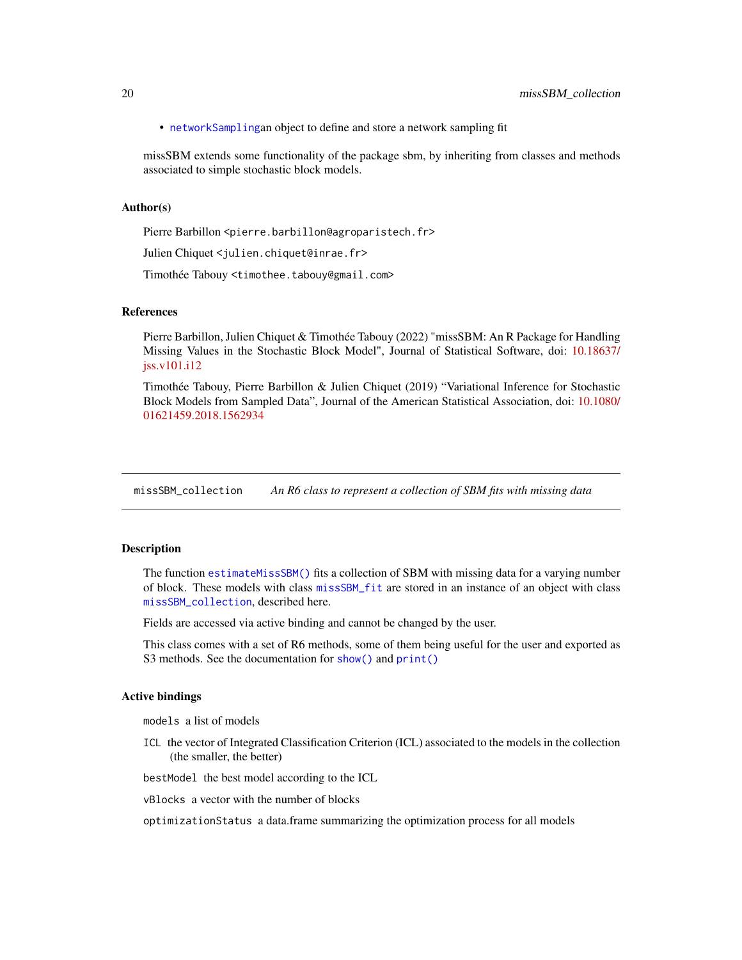<span id="page-19-0"></span>• [networkSampling](#page-24-1)an object to define and store a network sampling fit

missSBM extends some functionality of the package sbm, by inheriting from classes and methods associated to simple stochastic block models.

# Author(s)

Pierre Barbillon <pierre.barbillon@agroparistech.fr>

Julien Chiquet <julien.chiquet@inrae.fr>

Timothée Tabouy <timothee.tabouy@gmail.com>

#### References

Pierre Barbillon, Julien Chiquet & Timothée Tabouy (2022) "missSBM: An R Package for Handling Missing Values in the Stochastic Block Model", Journal of Statistical Software, doi: [10.18637/](https://doi.org/10.18637/jss.v101.i12) [jss.v101.i12](https://doi.org/10.18637/jss.v101.i12)

Timothée Tabouy, Pierre Barbillon & Julien Chiquet (2019) "Variational Inference for Stochastic Block Models from Sampled Data", Journal of the American Statistical Association, doi: [10.1080/](https://doi.org/10.1080/01621459.2018.1562934) [01621459.2018.1562934](https://doi.org/10.1080/01621459.2018.1562934)

<span id="page-19-1"></span>missSBM\_collection *An R6 class to represent a collection of SBM fits with missing data*

#### Description

The function [estimateMissSBM\(\)](#page-14-1) fits a collection of SBM with missing data for a varying number of block. These models with class [missSBM\\_fit](#page-21-1) are stored in an instance of an object with class [missSBM\\_collection](#page-19-1), described here.

Fields are accessed via active binding and cannot be changed by the user.

This class comes with a set of R6 methods, some of them being useful for the user and exported as S3 methods. See the documentation for [show\(\)](#page-0-0) and  $print()$ 

# Active bindings

models a list of models

ICL the vector of Integrated Classification Criterion (ICL) associated to the models in the collection (the smaller, the better)

bestModel the best model according to the ICL

vBlocks a vector with the number of blocks

optimizationStatus a data.frame summarizing the optimization process for all models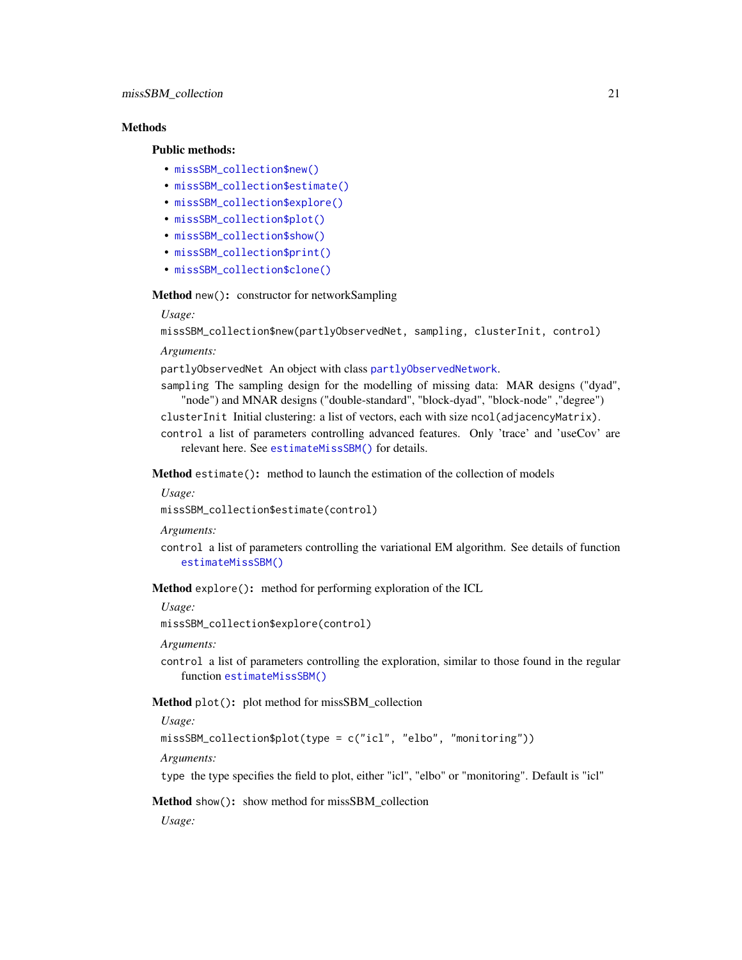# <span id="page-20-4"></span>**Methods**

# Public methods:

- [missSBM\\_collection\\$new\(\)](#page-2-1)
- [missSBM\\_collection\\$estimate\(\)](#page-20-0)
- [missSBM\\_collection\\$explore\(\)](#page-20-1)
- [missSBM\\_collection\\$plot\(\)](#page-20-2)
- [missSBM\\_collection\\$show\(\)](#page-20-3)
- [missSBM\\_collection\\$print\(\)](#page-21-2)
- [missSBM\\_collection\\$clone\(\)](#page-2-2)

Method new(): constructor for networkSampling

# *Usage:*

```
missSBM_collection$new(partlyObservedNet, sampling, clusterInit, control)
```
*Arguments:*

partlyObservedNet An object with class [partlyObservedNetwork](#page-32-1).

sampling The sampling design for the modelling of missing data: MAR designs ("dyad", "node") and MNAR designs ("double-standard", "block-dyad", "block-node" ,"degree")

clusterInit Initial clustering: a list of vectors, each with size ncol(adjacencyMatrix). control a list of parameters controlling advanced features. Only 'trace' and 'useCov' are relevant here. See [estimateMissSBM\(\)](#page-14-1) for details.

<span id="page-20-0"></span>Method estimate(): method to launch the estimation of the collection of models

*Usage:*

missSBM\_collection\$estimate(control)

*Arguments:*

control a list of parameters controlling the variational EM algorithm. See details of function [estimateMissSBM\(\)](#page-14-1)

<span id="page-20-1"></span>Method explore(): method for performing exploration of the ICL

*Usage:*

missSBM\_collection\$explore(control)

*Arguments:*

control a list of parameters controlling the exploration, similar to those found in the regular function [estimateMissSBM\(\)](#page-14-1)

<span id="page-20-2"></span>Method plot(): plot method for missSBM\_collection

*Usage:*

missSBM\_collection\$plot(type = c("icl", "elbo", "monitoring"))

*Arguments:*

type the type specifies the field to plot, either "icl", "elbo" or "monitoring". Default is "icl"

<span id="page-20-3"></span>Method show(): show method for missSBM\_collection

*Usage:*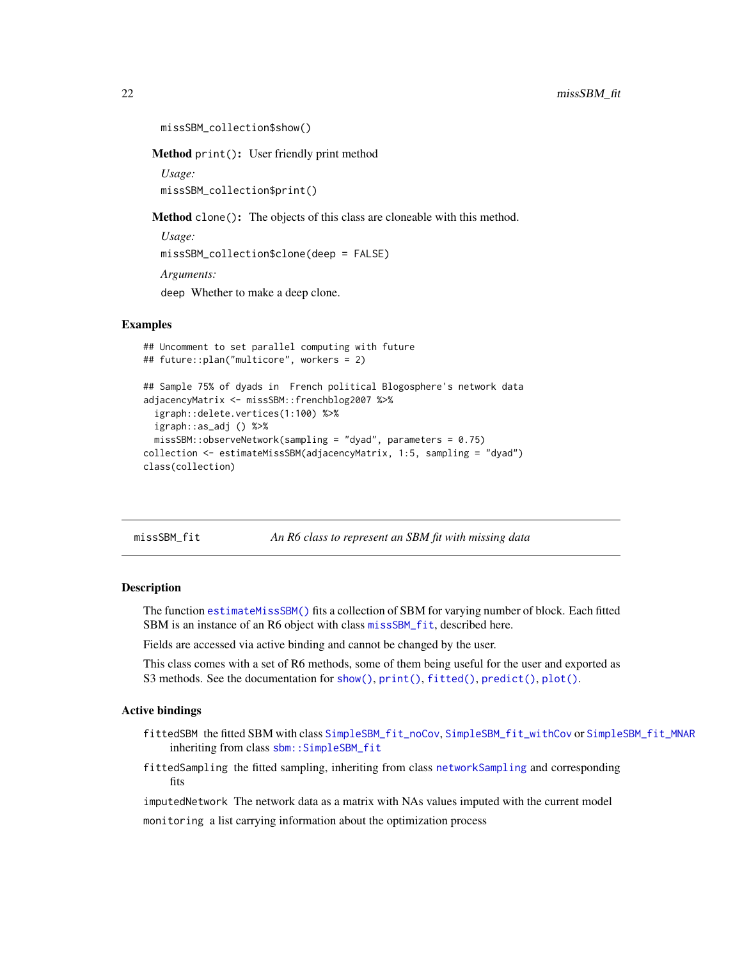```
missSBM_collection$show()
```
<span id="page-21-2"></span>Method print(): User friendly print method

*Usage:* missSBM\_collection\$print()

Method clone(): The objects of this class are cloneable with this method.

*Usage:* missSBM\_collection\$clone(deep = FALSE) *Arguments:* deep Whether to make a deep clone.

### Examples

```
## Uncomment to set parallel computing with future
## future::plan("multicore", workers = 2)
## Sample 75% of dyads in French political Blogosphere's network data
adjacencyMatrix <- missSBM::frenchblog2007 %>%
 igraph::delete.vertices(1:100) %>%
 igraph::as_adj () %>%
 missSBM::observeNetwork(sampling = "dyad", parameters = 0.75)
collection <- estimateMissSBM(adjacencyMatrix, 1:5, sampling = "dyad")
class(collection)
```
missSBM\_fit *An R6 class to represent an SBM fit with missing data*

### **Description**

The function [estimateMissSBM\(\)](#page-14-1) fits a collection of SBM for varying number of block. Each fitted SBM is an instance of an R6 object with class [missSBM\\_fit](#page-21-1), described here.

Fields are accessed via active binding and cannot be changed by the user.

This class comes with a set of R6 methods, some of them being useful for the user and exported as S3 methods. See the documentation for [show\(\)](#page-0-0), [print\(\)](#page-0-0), [fitted\(\)](#page-0-0), [predict\(\)](#page-0-0), [plot\(\)](#page-0-0).

# Active bindings

- fittedSBM the fitted SBM with class [SimpleSBM\\_fit\\_noCov](#page-40-1), [SimpleSBM\\_fit\\_withCov](#page-41-1) or [SimpleSBM\\_fit\\_MNAR](#page-39-1) inheriting from class sbm:: SimpleSBM\_fit
- fittedSampling the fitted sampling, inheriting from class [networkSampling](#page-24-1) and corresponding fits

imputedNetwork The network data as a matrix with NAs values imputed with the current model

monitoring a list carrying information about the optimization process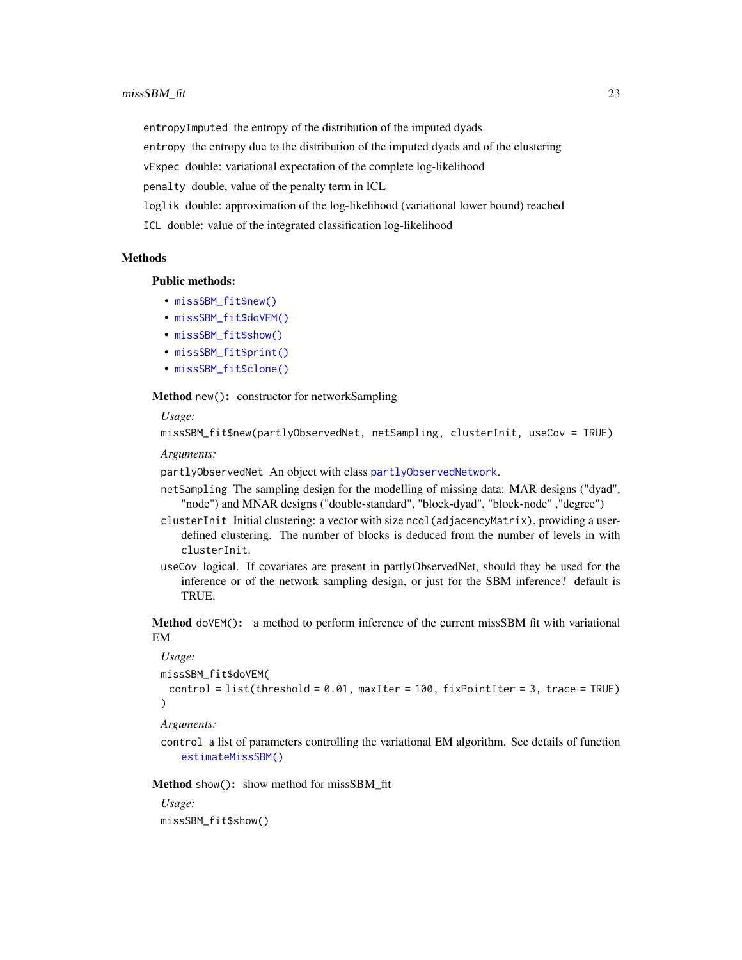# <span id="page-22-1"></span> $\mu$  missSBM fit 23

entropyImputed the entropy of the distribution of the imputed dyads

entropy the entropy due to the distribution of the imputed dyads and of the clustering

vExpec double: variational expectation of the complete log-likelihood

penalty double, value of the penalty term in ICL

loglik double: approximation of the log-likelihood (variational lower bound) reached

ICL double: value of the integrated classification log-likelihood

#### Methods

#### Public methods:

- [missSBM\\_fit\\$new\(\)](#page-2-1)
- [missSBM\\_fit\\$doVEM\(\)](#page-22-0)
- [missSBM\\_fit\\$show\(\)](#page-20-3)
- [missSBM\\_fit\\$print\(\)](#page-21-2)
- [missSBM\\_fit\\$clone\(\)](#page-2-2)

Method new(): constructor for networkSampling

#### *Usage:*

```
missSBM_fit$new(partlyObservedNet, netSampling, clusterInit, useCov = TRUE)
```
*Arguments:*

partlyObservedNet An object with class [partlyObservedNetwork](#page-32-1).

- netSampling The sampling design for the modelling of missing data: MAR designs ("dyad", "node") and MNAR designs ("double-standard", "block-dyad", "block-node" ,"degree")
- clusterInit Initial clustering: a vector with size ncol(adjacencyMatrix), providing a userdefined clustering. The number of blocks is deduced from the number of levels in with clusterInit.
- useCov logical. If covariates are present in partlyObservedNet, should they be used for the inference or of the network sampling design, or just for the SBM inference? default is TRUE.

<span id="page-22-0"></span>Method doVEM(): a method to perform inference of the current missSBM fit with variational EM

#### *Usage:*

missSBM\_fit\$doVEM(  $control = list(threshold = 0.01, maxIter = 100, fixPointIter = 3, trace = TRUE)$ )

# *Arguments:*

control a list of parameters controlling the variational EM algorithm. See details of function [estimateMissSBM\(\)](#page-14-1)

Method show(): show method for missSBM\_fit

*Usage:* missSBM\_fit\$show()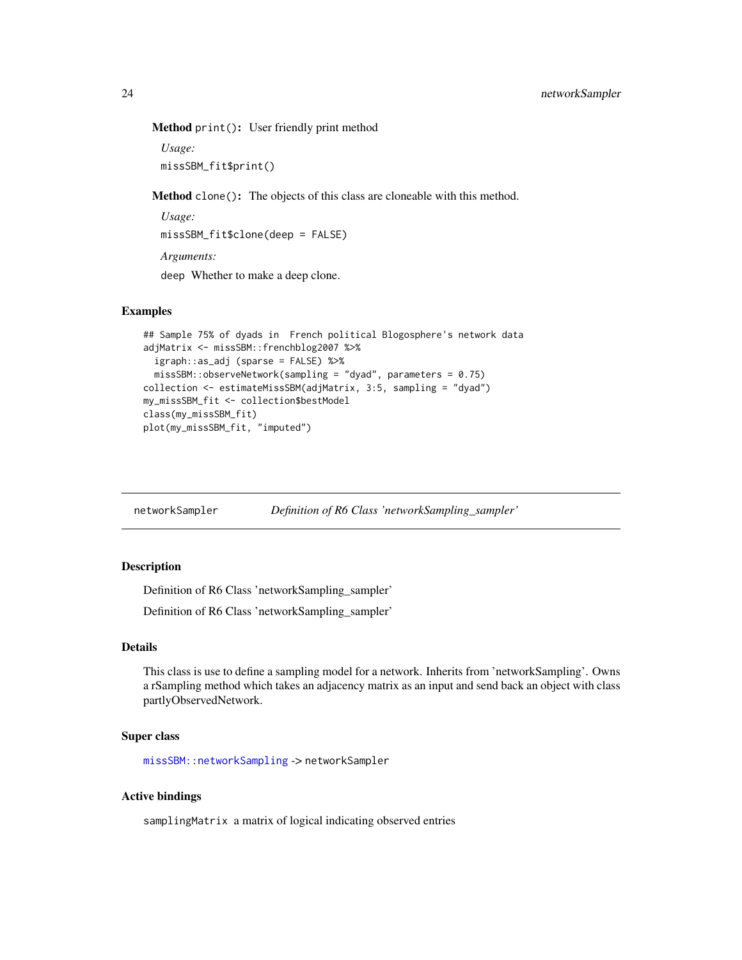<span id="page-23-0"></span>Method print(): User friendly print method

*Usage:* missSBM\_fit\$print()

Method clone(): The objects of this class are cloneable with this method.

*Usage:* missSBM\_fit\$clone(deep = FALSE) *Arguments:* deep Whether to make a deep clone.

# Examples

```
## Sample 75% of dyads in French political Blogosphere's network data
adjMatrix <- missSBM::frenchblog2007 %>%
 igraph::as_adj (sparse = FALSE) %>%
 missSBM::observeNetwork(sampling = "dyad", parameters = 0.75)
collection <- estimateMissSBM(adjMatrix, 3:5, sampling = "dyad")
my_missSBM_fit <- collection$bestModel
class(my_missSBM_fit)
plot(my_missSBM_fit, "imputed")
```
networkSampler *Definition of R6 Class 'networkSampling\_sampler'*

# Description

Definition of R6 Class 'networkSampling\_sampler'

Definition of R6 Class 'networkSampling\_sampler'

# Details

This class is use to define a sampling model for a network. Inherits from 'networkSampling'. Owns a rSampling method which takes an adjacency matrix as an input and send back an object with class partlyObservedNetwork.

#### Super class

[missSBM::networkSampling](#page-0-0) -> networkSampler

# Active bindings

samplingMatrix a matrix of logical indicating observed entries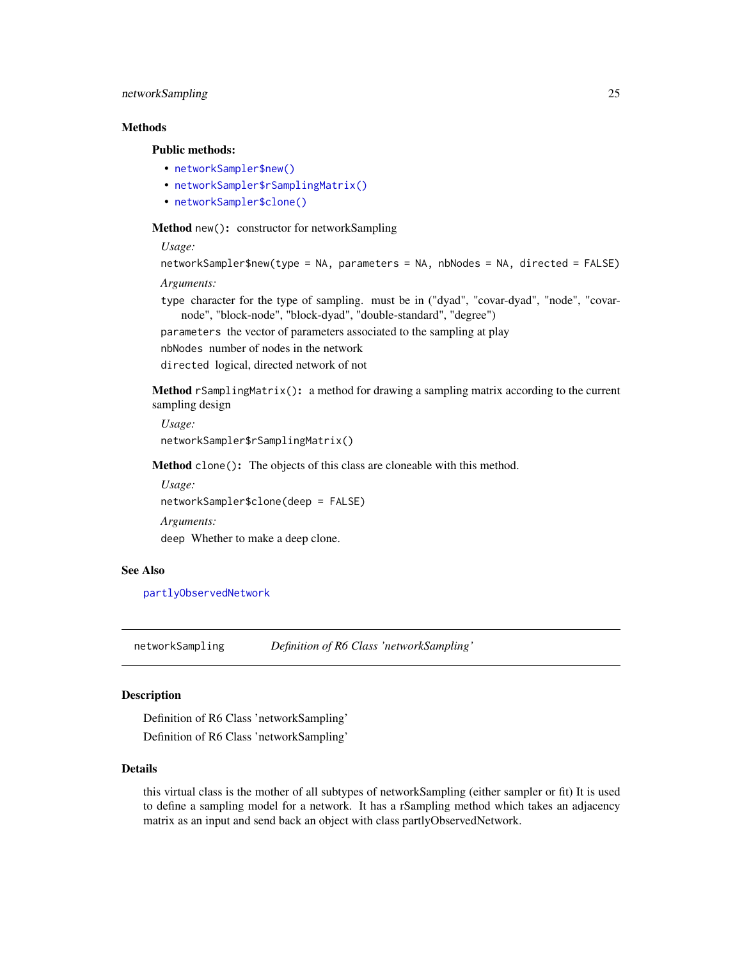# <span id="page-24-0"></span>networkSampling 25

# Methods

#### Public methods:

- [networkSampler\\$new\(\)](#page-2-1)
- [networkSampler\\$rSamplingMatrix\(\)](#page-24-2)
- [networkSampler\\$clone\(\)](#page-2-2)

Method new(): constructor for networkSampling

*Usage:*

```
networkSampler$new(type = NA, parameters = NA, nbNodes = NA, directed = FALSE)
```
*Arguments:*

type character for the type of sampling. must be in ("dyad", "covar-dyad", "node", "covarnode", "block-node", "block-dyad", "double-standard", "degree")

parameters the vector of parameters associated to the sampling at play

nbNodes number of nodes in the network

directed logical, directed network of not

<span id="page-24-2"></span>Method rSamplingMatrix(): a method for drawing a sampling matrix according to the current sampling design

*Usage:* networkSampler\$rSamplingMatrix()

Method clone(): The objects of this class are cloneable with this method.

*Usage:* networkSampler\$clone(deep = FALSE) *Arguments:* deep Whether to make a deep clone.

#### See Also

[partlyObservedNetwork](#page-32-1)

<span id="page-24-1"></span>networkSampling *Definition of R6 Class 'networkSampling'*

#### Description

Definition of R6 Class 'networkSampling' Definition of R6 Class 'networkSampling'

#### Details

this virtual class is the mother of all subtypes of networkSampling (either sampler or fit) It is used to define a sampling model for a network. It has a rSampling method which takes an adjacency matrix as an input and send back an object with class partlyObservedNetwork.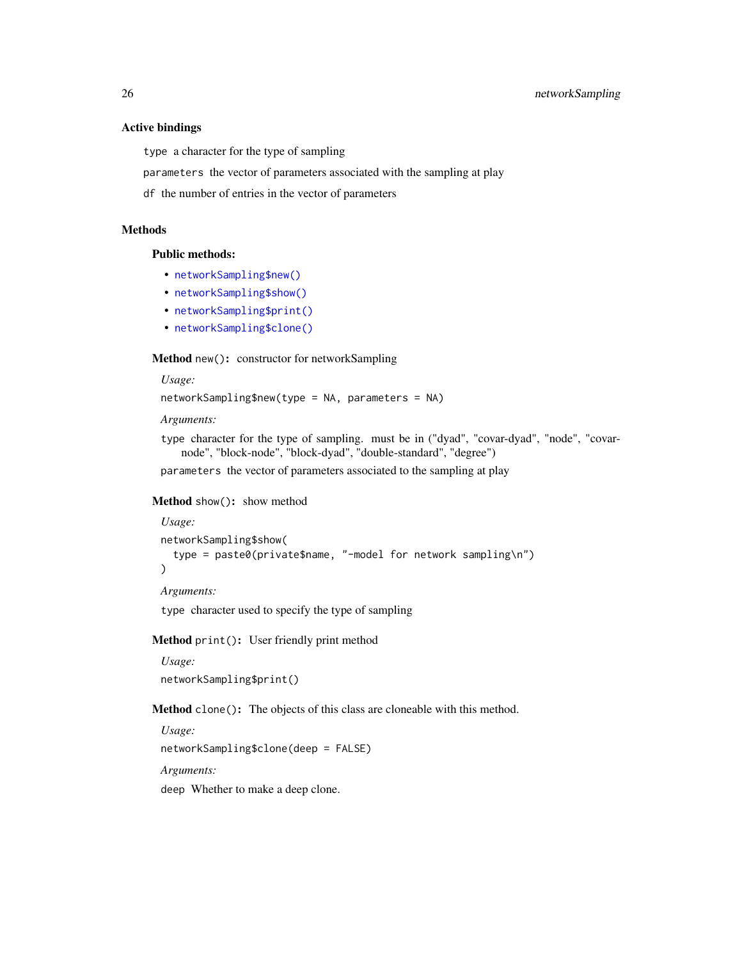#### Active bindings

type a character for the type of sampling

parameters the vector of parameters associated with the sampling at play

df the number of entries in the vector of parameters

# **Methods**

Public methods:

- [networkSampling\\$new\(\)](#page-2-1)
- [networkSampling\\$show\(\)](#page-20-3)
- [networkSampling\\$print\(\)](#page-21-2)
- [networkSampling\\$clone\(\)](#page-2-2)

# Method new(): constructor for networkSampling

*Usage:*

networkSampling\$new(type = NA, parameters = NA)

*Arguments:*

type character for the type of sampling. must be in ("dyad", "covar-dyad", "node", "covarnode", "block-node", "block-dyad", "double-standard", "degree")

parameters the vector of parameters associated to the sampling at play

#### Method show(): show method

```
Usage:
networkSampling$show(
  type = paste0(private$name, "-model for network sampling\n")
)
Arguments:
```
type character used to specify the type of sampling

# Method print(): User friendly print method

*Usage:* networkSampling\$print()

Method clone(): The objects of this class are cloneable with this method.

*Usage:*

networkSampling\$clone(deep = FALSE)

*Arguments:*

deep Whether to make a deep clone.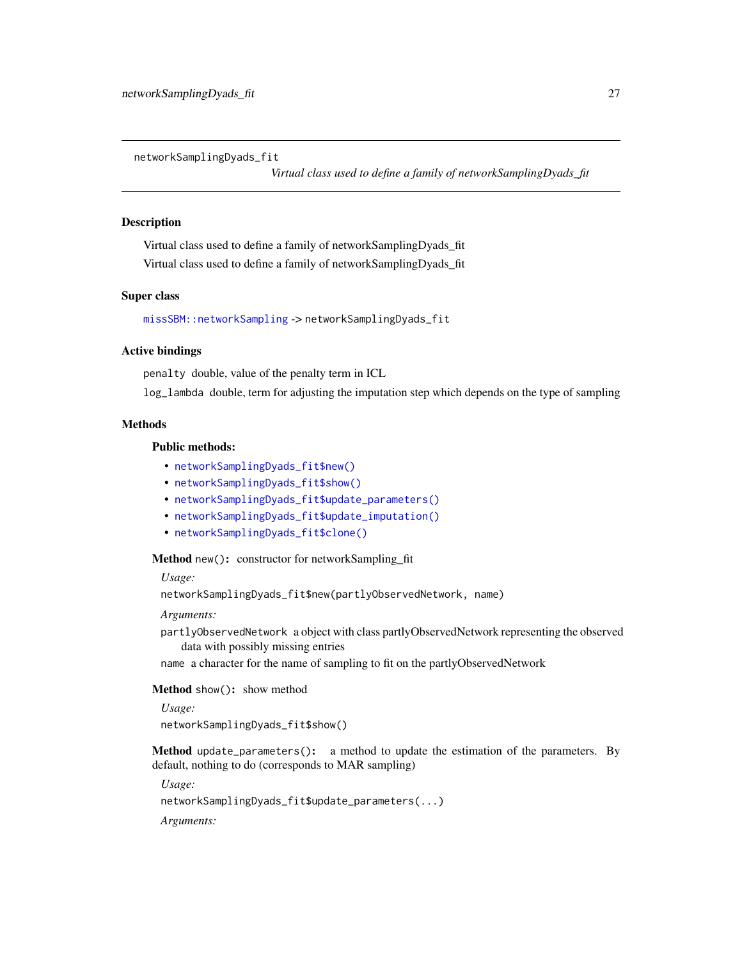<span id="page-26-0"></span>networkSamplingDyads\_fit

*Virtual class used to define a family of networkSamplingDyads\_fit*

#### Description

Virtual class used to define a family of networkSamplingDyads\_fit Virtual class used to define a family of networkSamplingDyads\_fit

# Super class

[missSBM::networkSampling](#page-0-0) -> networkSamplingDyads\_fit

# Active bindings

penalty double, value of the penalty term in ICL

log\_lambda double, term for adjusting the imputation step which depends on the type of sampling

# Methods

# Public methods:

- [networkSamplingDyads\\_fit\\$new\(\)](#page-2-1)
- [networkSamplingDyads\\_fit\\$show\(\)](#page-20-3)
- [networkSamplingDyads\\_fit\\$update\\_parameters\(\)](#page-3-1)
- [networkSamplingDyads\\_fit\\$update\\_imputation\(\)](#page-9-1)
- [networkSamplingDyads\\_fit\\$clone\(\)](#page-2-2)

#### Method new(): constructor for networkSampling\_fit

*Usage:*

networkSamplingDyads\_fit\$new(partlyObservedNetwork, name)

*Arguments:*

partlyObservedNetwork a object with class partlyObservedNetwork representing the observed data with possibly missing entries

name a character for the name of sampling to fit on the partlyObservedNetwork

#### Method show(): show method

*Usage:*

networkSamplingDyads\_fit\$show()

Method update\_parameters(): a method to update the estimation of the parameters. By default, nothing to do (corresponds to MAR sampling)

*Usage:*

networkSamplingDyads\_fit\$update\_parameters(...)

*Arguments:*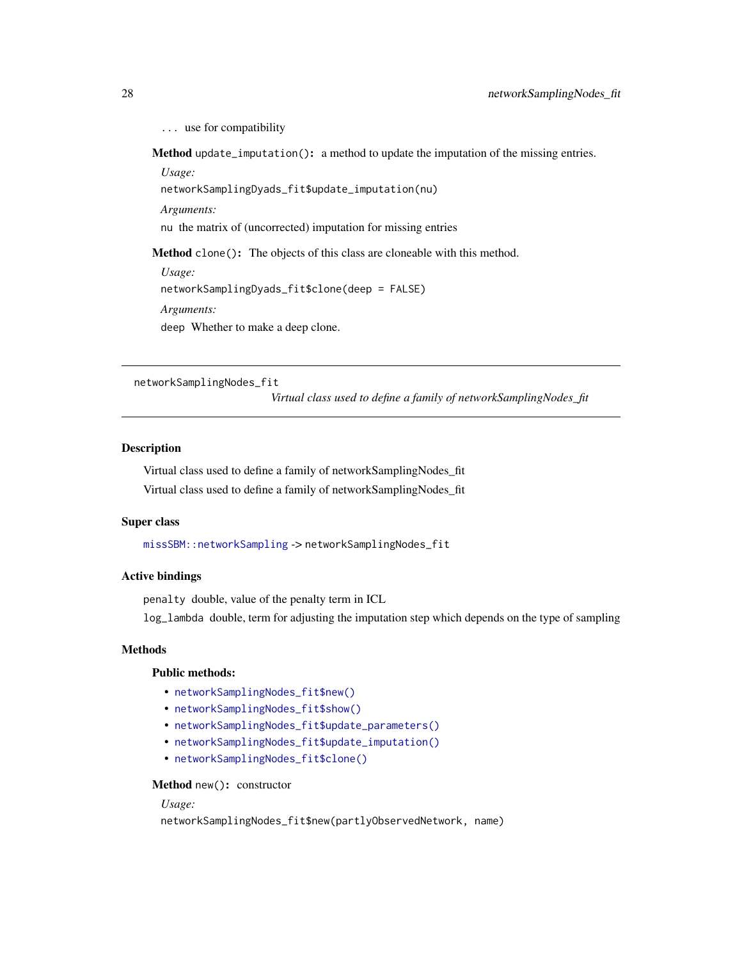<span id="page-27-0"></span>... use for compatibility

Method update\_imputation(): a method to update the imputation of the missing entries.

*Usage:*

networkSamplingDyads\_fit\$update\_imputation(nu)

*Arguments:*

nu the matrix of (uncorrected) imputation for missing entries

Method clone(): The objects of this class are cloneable with this method.

*Usage:* networkSamplingDyads\_fit\$clone(deep = FALSE) *Arguments:* deep Whether to make a deep clone.

networkSamplingNodes\_fit

*Virtual class used to define a family of networkSamplingNodes\_fit*

# **Description**

Virtual class used to define a family of networkSamplingNodes\_fit Virtual class used to define a family of networkSamplingNodes\_fit

#### Super class

[missSBM::networkSampling](#page-0-0) -> networkSamplingNodes\_fit

# Active bindings

penalty double, value of the penalty term in ICL

log\_lambda double, term for adjusting the imputation step which depends on the type of sampling

# **Methods**

#### Public methods:

- [networkSamplingNodes\\_fit\\$new\(\)](#page-2-1)
- [networkSamplingNodes\\_fit\\$show\(\)](#page-20-3)
- [networkSamplingNodes\\_fit\\$update\\_parameters\(\)](#page-3-1)
- [networkSamplingNodes\\_fit\\$update\\_imputation\(\)](#page-9-1)
- [networkSamplingNodes\\_fit\\$clone\(\)](#page-2-2)

# Method new(): constructor

# *Usage:*

networkSamplingNodes\_fit\$new(partlyObservedNetwork, name)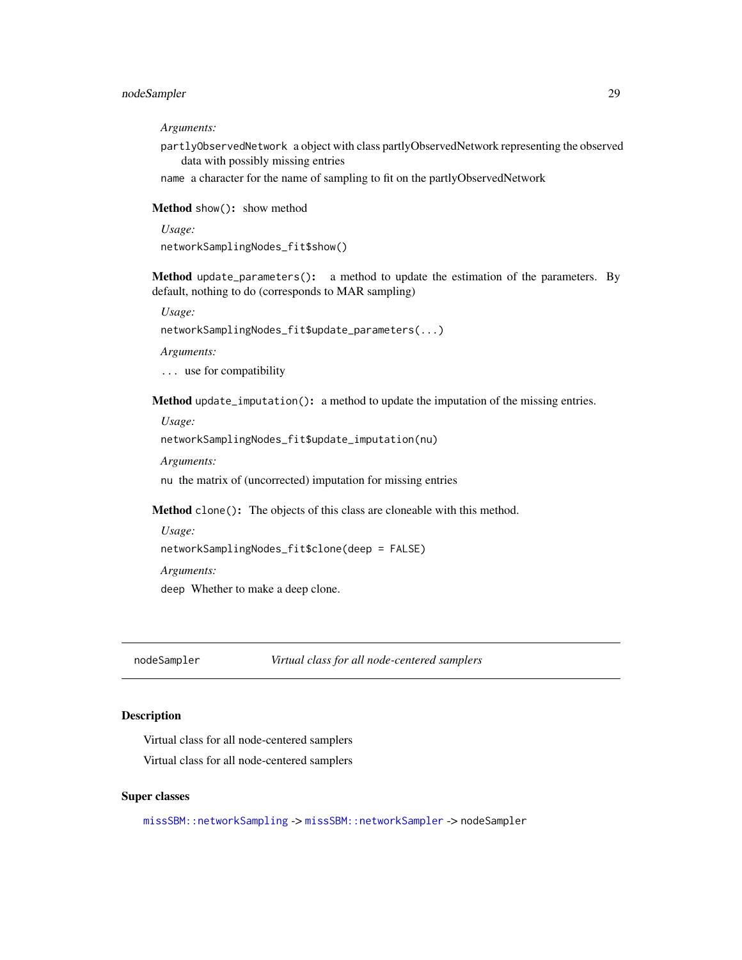# <span id="page-28-0"></span>nodeSampler 29

*Arguments:*

partlyObservedNetwork a object with class partlyObservedNetwork representing the observed data with possibly missing entries

name a character for the name of sampling to fit on the partlyObservedNetwork

Method show(): show method

*Usage:*

networkSamplingNodes\_fit\$show()

Method update\_parameters(): a method to update the estimation of the parameters. By default, nothing to do (corresponds to MAR sampling)

*Usage:*

networkSamplingNodes\_fit\$update\_parameters(...)

*Arguments:*

... use for compatibility

Method update\_imputation(): a method to update the imputation of the missing entries.

*Usage:* networkSamplingNodes\_fit\$update\_imputation(nu)

*Arguments:*

nu the matrix of (uncorrected) imputation for missing entries

Method clone(): The objects of this class are cloneable with this method.

*Usage:*

```
networkSamplingNodes_fit$clone(deep = FALSE)
```
*Arguments:*

deep Whether to make a deep clone.

nodeSampler *Virtual class for all node-centered samplers*

#### Description

Virtual class for all node-centered samplers

Virtual class for all node-centered samplers

#### Super classes

[missSBM::networkSampling](#page-0-0) -> [missSBM::networkSampler](#page-0-0) -> nodeSampler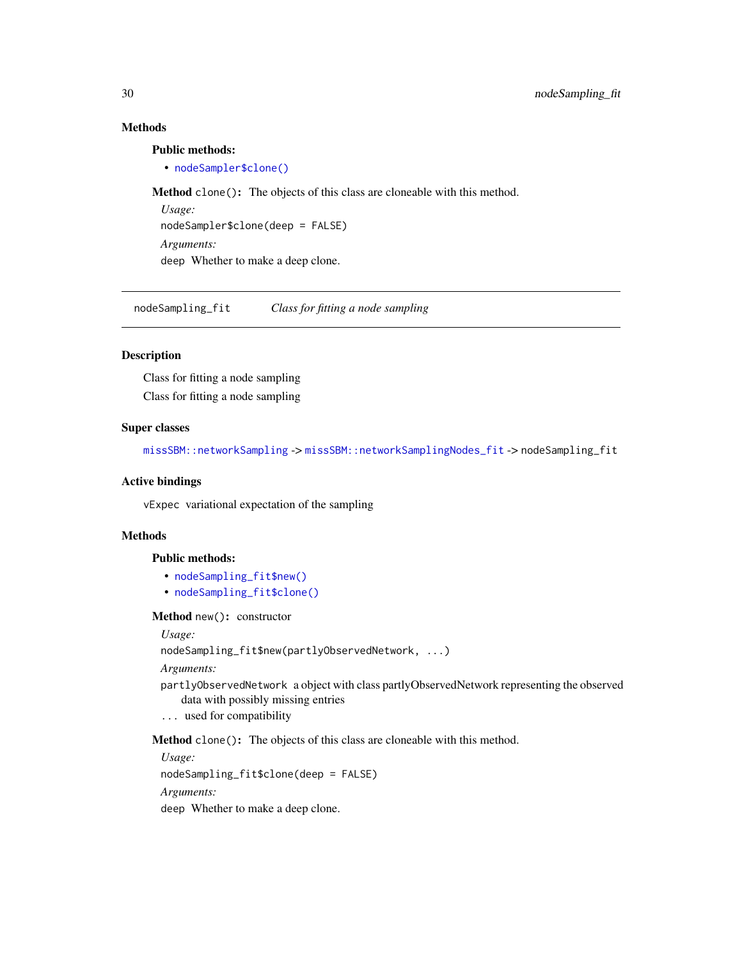# Methods

# Public methods:

• [nodeSampler\\$clone\(\)](#page-2-2)

Method clone(): The objects of this class are cloneable with this method.

*Usage:* nodeSampler\$clone(deep = FALSE) *Arguments:* deep Whether to make a deep clone.

nodeSampling\_fit *Class for fitting a node sampling*

#### Description

Class for fitting a node sampling Class for fitting a node sampling

# Super classes

[missSBM::networkSampling](#page-0-0) -> [missSBM::networkSamplingNodes\\_fit](#page-0-0) -> nodeSampling\_fit

# Active bindings

vExpec variational expectation of the sampling

# Methods

# Public methods:

- [nodeSampling\\_fit\\$new\(\)](#page-2-1)
- [nodeSampling\\_fit\\$clone\(\)](#page-2-2)

#### Method new(): constructor

*Usage:*

nodeSampling\_fit\$new(partlyObservedNetwork, ...)

*Arguments:*

- partlyObservedNetwork a object with class partlyObservedNetwork representing the observed data with possibly missing entries
- ... used for compatibility

Method clone(): The objects of this class are cloneable with this method.

*Usage:*

nodeSampling\_fit\$clone(deep = FALSE)

*Arguments:*

deep Whether to make a deep clone.

<span id="page-29-0"></span>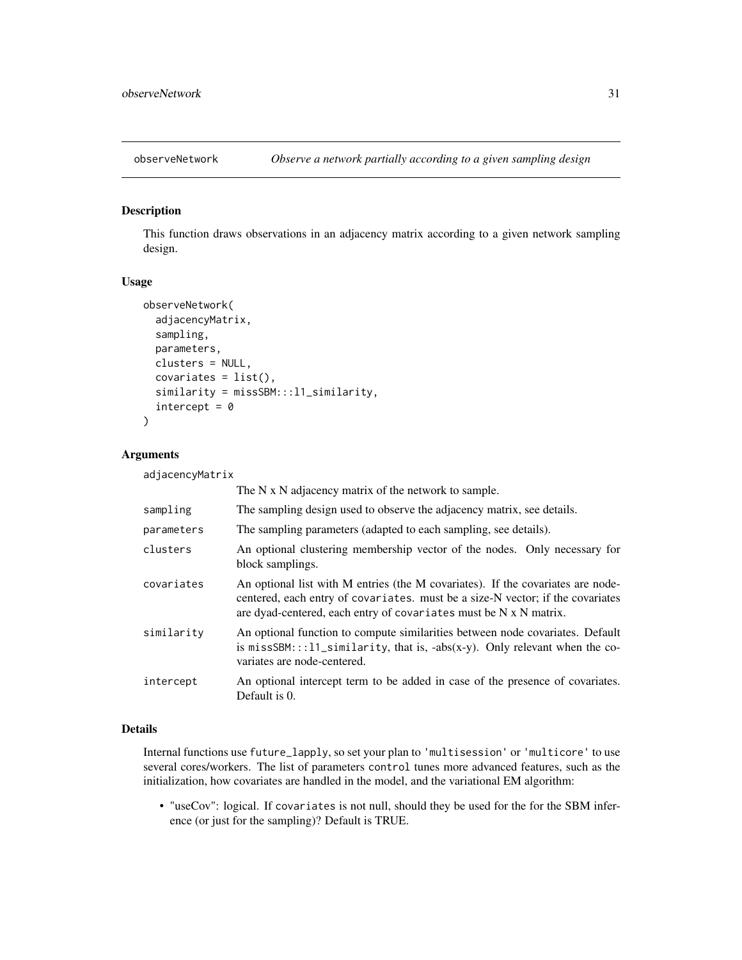<span id="page-30-1"></span><span id="page-30-0"></span>

# Description

This function draws observations in an adjacency matrix according to a given network sampling design.

# Usage

```
observeNetwork(
  adjacencyMatrix,
  sampling,
  parameters,
  clusters = NULL,
  covariates = list(),similarity = missSBM:::l1_similarity,
  intercept = 0)
```
# Arguments

adjacencyMatrix

|            | The N x N adjacency matrix of the network to sample.                                                                                                                                                                                   |
|------------|----------------------------------------------------------------------------------------------------------------------------------------------------------------------------------------------------------------------------------------|
| sampling   | The sampling design used to observe the adjacency matrix, see details.                                                                                                                                                                 |
| parameters | The sampling parameters (adapted to each sampling, see details).                                                                                                                                                                       |
| clusters   | An optional clustering membership vector of the nodes. Only necessary for<br>block samplings.                                                                                                                                          |
| covariates | An optional list with M entries (the M covariates). If the covariates are node-<br>centered, each entry of covariates. must be a size-N vector; if the covariates<br>are dyad-centered, each entry of covariates must be N x N matrix. |
| similaritv | An optional function to compute similarities between node covariates. Default<br>is missSBM:::11_similarity, that is, -abs(x-y). Only relevant when the co-<br>variates are node-centered.                                             |
| intercept  | An optional intercept term to be added in case of the presence of covariates.<br>Default is 0.                                                                                                                                         |

# Details

Internal functions use future\_lapply, so set your plan to 'multisession' or 'multicore' to use several cores/workers. The list of parameters control tunes more advanced features, such as the initialization, how covariates are handled in the model, and the variational EM algorithm:

• "useCov": logical. If covariates is not null, should they be used for the for the SBM inference (or just for the sampling)? Default is TRUE.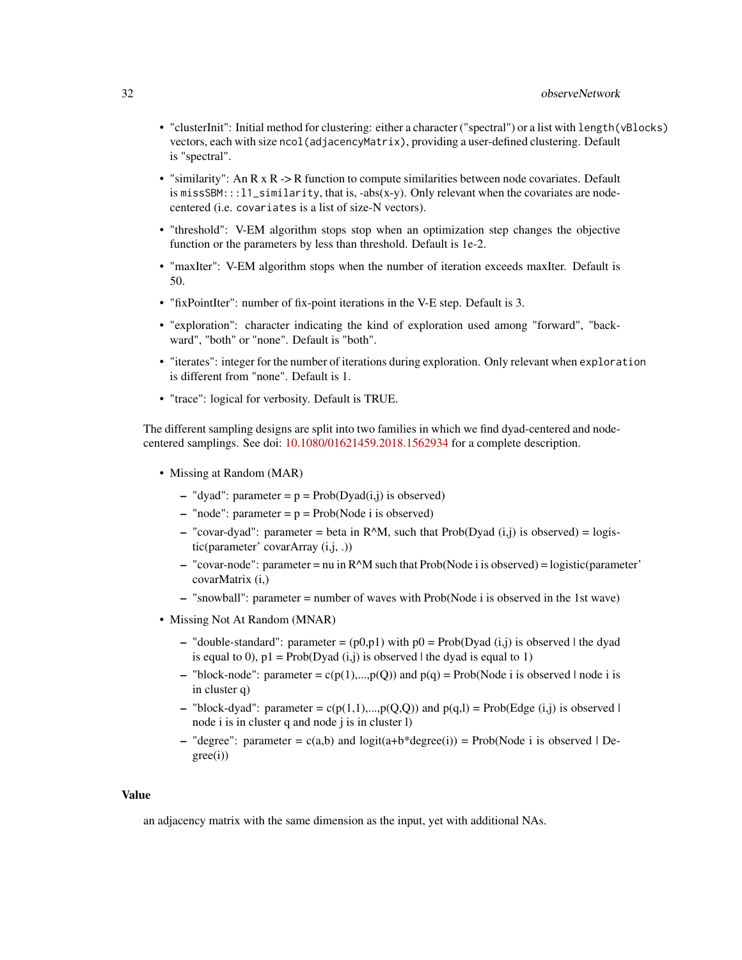# 32 observeNetwork

- "clusterInit": Initial method for clustering: either a character ("spectral") or a list with length(vBlocks) vectors, each with size ncol(adjacencyMatrix), providing a user-defined clustering. Default is "spectral".
- "similarity": An R x R -> R function to compute similarities between node covariates. Default is missSBM:::l1\_similarity, that is, -abs(x-y). Only relevant when the covariates are nodecentered (i.e. covariates is a list of size-N vectors).
- "threshold": V-EM algorithm stops stop when an optimization step changes the objective function or the parameters by less than threshold. Default is 1e-2.
- "maxIter": V-EM algorithm stops when the number of iteration exceeds maxIter. Default is 50.
- "fixPointIter": number of fix-point iterations in the V-E step. Default is 3.
- "exploration": character indicating the kind of exploration used among "forward", "backward", "both" or "none". Default is "both".
- "iterates": integer for the number of iterations during exploration. Only relevant when exploration is different from "none". Default is 1.
- "trace": logical for verbosity. Default is TRUE.

The different sampling designs are split into two families in which we find dyad-centered and nodecentered samplings. See doi: [10.1080/01621459.2018.1562934](https://doi.org/10.1080/01621459.2018.1562934) for a complete description.

- Missing at Random (MAR)
	- "dyad": parameter =  $p = Prob(Dyad(i,j))$  is observed)
	- "node": parameter =  $p = Prob(Node i is observed)$
	- "covar-dyad": parameter = beta in R^M, such that Prob(Dyad  $(i,j)$  is observed) = logistic(parameter' covarArray (i,j, .))
	- $-$  "covar-node": parameter = nu in R^M such that Prob(Node i is observed) = logistic(parameter' covarMatrix (i,)
	- "snowball": parameter = number of waves with Prob(Node i is observed in the 1st wave)
- Missing Not At Random (MNAR)
	- "double-standard": parameter =  $(p0,p1)$  with  $p0 = Prob(Dyad (i,j))$  is observed | the dyad is equal to 0),  $p1 = Prob(Dyad (i,j))$  is observed l the dyad is equal to 1)
	- "block-node": parameter =  $c(p(1),...,p(Q))$  and  $p(q)$  = Prob(Node i is observed | node i is in cluster q)
	- "block-dyad": parameter =  $c(p(1,1),...,p(Q,Q))$  and  $p(q,l)$  = Prob(Edge (i,j) is observed | node i is in cluster q and node j is in cluster l)
	- "degree": parameter =  $c(a,b)$  and  $logit(a+b * degree(i))$  = Prob(Node i is observed | De $gree(i)$

# Value

an adjacency matrix with the same dimension as the input, yet with additional NAs.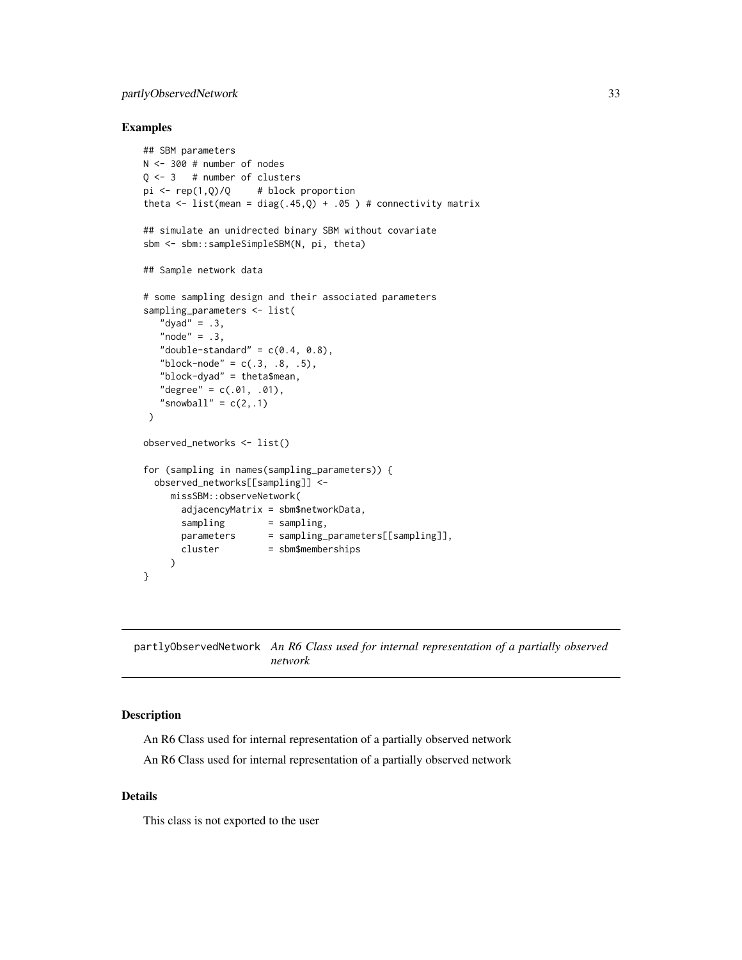# <span id="page-32-0"></span>partlyObservedNetwork 33

# Examples

```
## SBM parameters
N <- 300 # number of nodes
Q \le -3 # number of clusters
pi \leftarrow rep(1,Q)/Q # block proportion
theta \le list(mean = diag(.45,Q) + .05 ) # connectivity matrix
## simulate an unidrected binary SBM without covariate
sbm <- sbm::sampleSimpleSBM(N, pi, theta)
## Sample network data
# some sampling design and their associated parameters
sampling_parameters <- list(
   "dyad" = .3,
   "node" = .3,"double-standard" = c(0.4, 0.8),
   "block-node" = c(.3, .8, .5),
   "block-dyad" = theta$mean,
   "degree" = c(.01, .01),"snowball" = c(2, .1))
observed_networks <- list()
for (sampling in names(sampling_parameters)) {
  observed_networks[[sampling]] <-
    missSBM::observeNetwork(
       adjacencyMatrix = sbm$networkData,
       sampling = sampling,
       parameters = sampling_parameters[[sampling]],
       cluster = sbm$memberships
     )
}
```
<span id="page-32-1"></span>partlyObservedNetwork *An R6 Class used for internal representation of a partially observed network*

#### Description

An R6 Class used for internal representation of a partially observed network

An R6 Class used for internal representation of a partially observed network

#### Details

This class is not exported to the user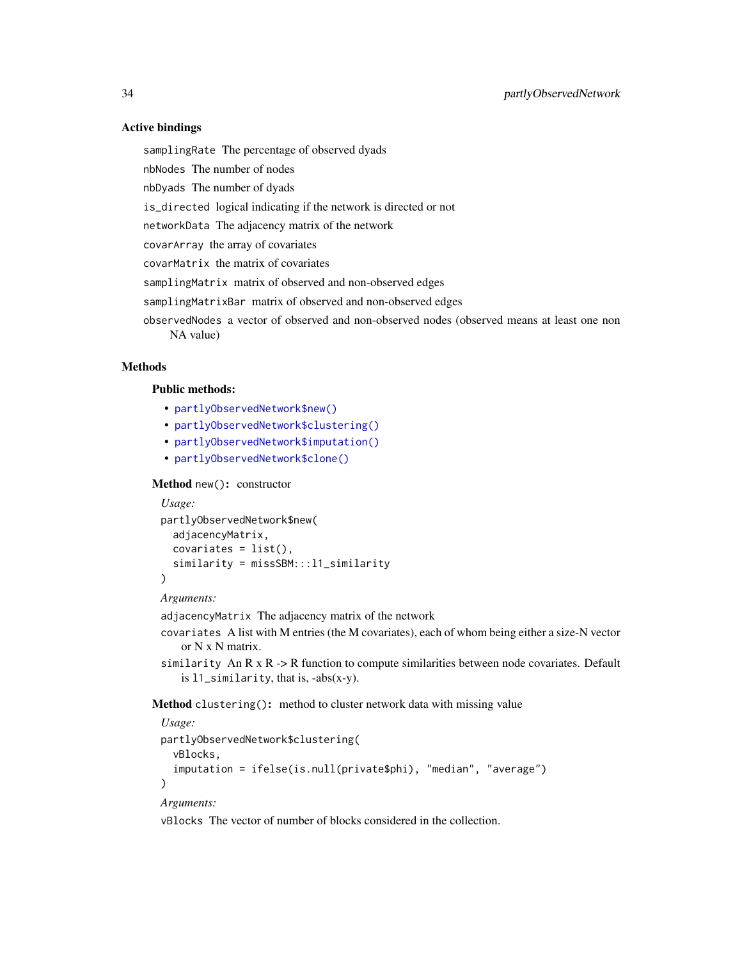# Active bindings

samplingRate The percentage of observed dyads

nbNodes The number of nodes

nbDyads The number of dyads

is\_directed logical indicating if the network is directed or not

networkData The adjacency matrix of the network

covarArray the array of covariates

covarMatrix the matrix of covariates

samplingMatrix matrix of observed and non-observed edges

samplingMatrixBar matrix of observed and non-observed edges

observedNodes a vector of observed and non-observed nodes (observed means at least one non NA value)

# Methods

# Public methods:

- [partlyObservedNetwork\\$new\(\)](#page-2-1)
- [partlyObservedNetwork\\$clustering\(\)](#page-33-0)
- [partlyObservedNetwork\\$imputation\(\)](#page-34-1)
- [partlyObservedNetwork\\$clone\(\)](#page-2-2)

Method new(): constructor

```
Usage:
partlyObservedNetwork$new(
  adjacencyMatrix,
  covariates = list(),
  similarity = missSBM:::l1_similarity
\lambda
```
*Arguments:*

adjacencyMatrix The adjacency matrix of the network

- covariates A list with M entries (the M covariates), each of whom being either a size-N vector or N x N matrix.
- similarity An R  $x$  R  $\rightarrow$  R function to compute similarities between node covariates. Default is l1\_similarity, that is, -abs(x-y).

<span id="page-33-0"></span>Method clustering(): method to cluster network data with missing value

```
Usage:
partlyObservedNetwork$clustering(
  vBlocks,
  imputation = ifelse(is.null(private$phi), "median", "average")
)
Arguments:
```
vBlocks The vector of number of blocks considered in the collection.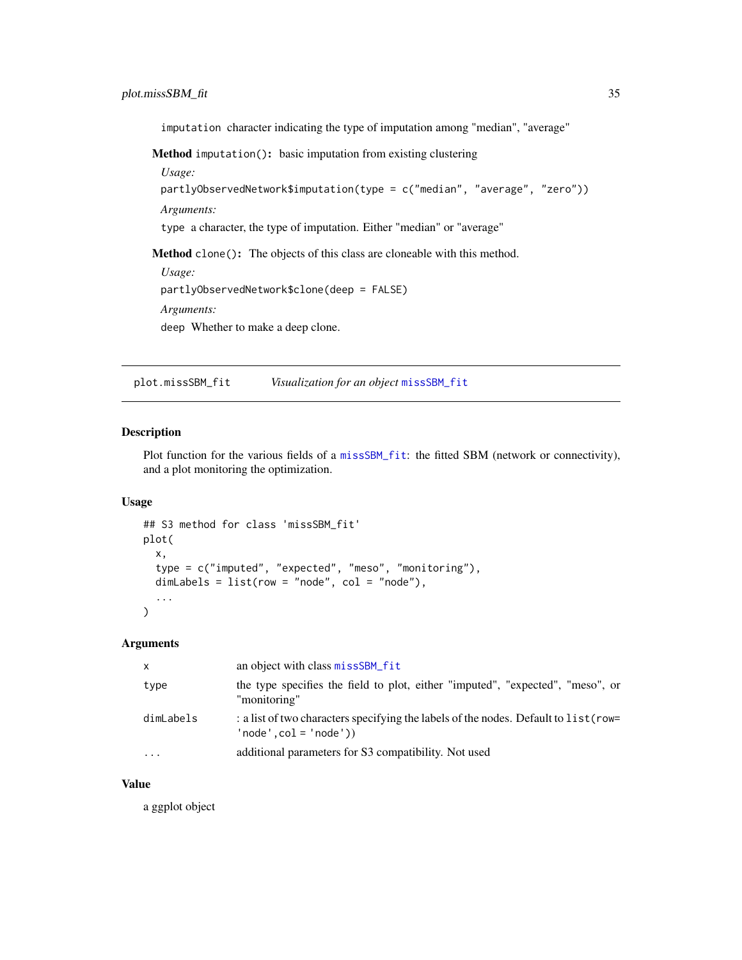<span id="page-34-0"></span>imputation character indicating the type of imputation among "median", "average"

<span id="page-34-1"></span>Method imputation(): basic imputation from existing clustering

*Usage:*

partlyObservedNetwork\$imputation(type = c("median", "average", "zero")) *Arguments:*

type a character, the type of imputation. Either "median" or "average"

Method clone(): The objects of this class are cloneable with this method.

```
Usage:
partlyObservedNetwork$clone(deep = FALSE)
Arguments:
deep Whether to make a deep clone.
```
plot.missSBM\_fit *Visualization for an object* [missSBM\\_fit](#page-21-1)

# Description

Plot function for the various fields of a [missSBM\\_fit](#page-21-1): the fitted SBM (network or connectivity), and a plot monitoring the optimization.

#### Usage

```
## S3 method for class 'missSBM_fit'
plot(
  x,
  type = c("imputed", "expected", "meso", "monitoring"),
  dimLabels = list(row = "node", col = "node"),...
)
```
#### Arguments

| X         | an object with class missSBM fit                                                                              |
|-----------|---------------------------------------------------------------------------------------------------------------|
| type      | the type specifies the field to plot, either "imputed", "expected", "meso", or<br>"monitoring"                |
| dimLabels | : a list of two characters specifying the labels of the nodes. Default to list (row=<br>$'node',col='node'))$ |
| $\ddotsc$ | additional parameters for S3 compatibility. Not used                                                          |

# Value

a ggplot object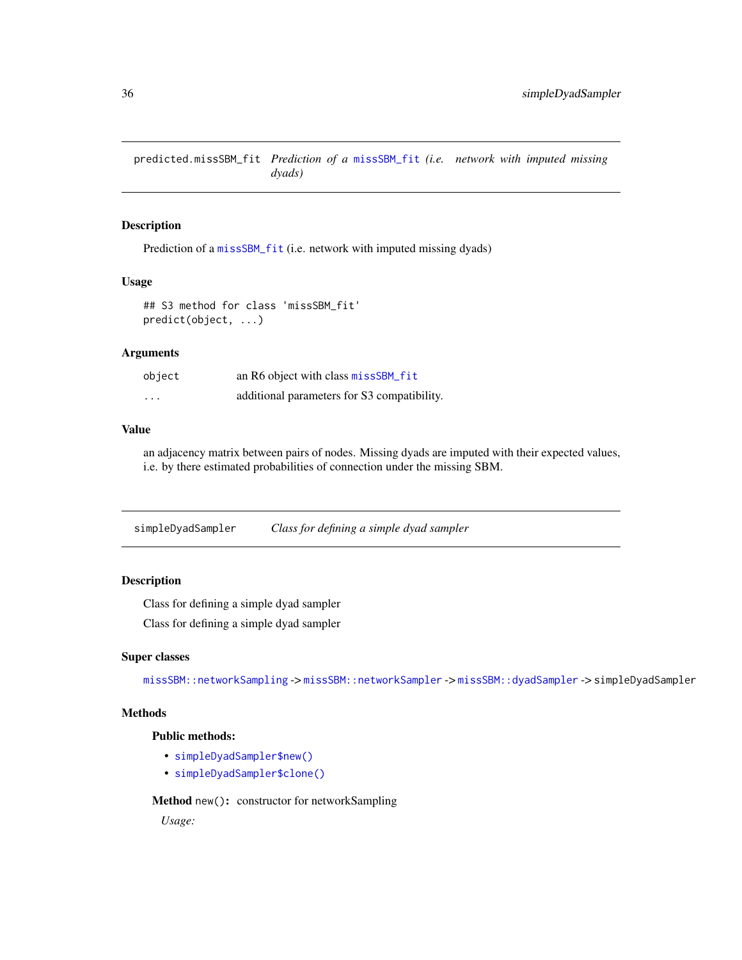<span id="page-35-0"></span>predicted.missSBM\_fit *Prediction of a* [missSBM\\_fit](#page-21-1) *(i.e. network with imputed missing dyads)*

# Description

Prediction of a [missSBM\\_fit](#page-21-1) (i.e. network with imputed missing dyads)

#### Usage

## S3 method for class 'missSBM\_fit' predict(object, ...)

# Arguments

| object   | an R6 object with class missSBM_fit         |
|----------|---------------------------------------------|
| $\cdots$ | additional parameters for S3 compatibility. |

# Value

an adjacency matrix between pairs of nodes. Missing dyads are imputed with their expected values, i.e. by there estimated probabilities of connection under the missing SBM.

simpleDyadSampler *Class for defining a simple dyad sampler*

# Description

Class for defining a simple dyad sampler

Class for defining a simple dyad sampler

#### Super classes

[missSBM::networkSampling](#page-0-0) -> [missSBM::networkSampler](#page-0-0) -> [missSBM::dyadSampler](#page-0-0) -> simpleDyadSampler

# Methods

# Public methods:

- [simpleDyadSampler\\$new\(\)](#page-2-1)
- [simpleDyadSampler\\$clone\(\)](#page-2-2)

Method new(): constructor for networkSampling

*Usage:*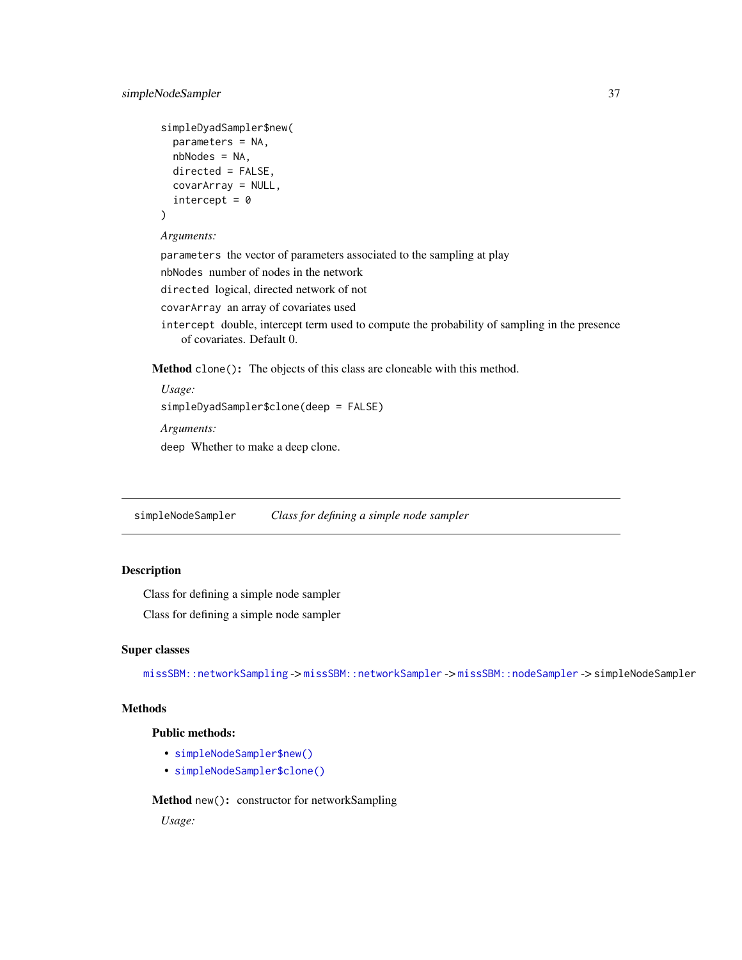```
simpleDyadSampler$new(
  parameters = NA,
  nbNodes = NA,
 directed = FALSE,
  covarArray = NULL,
  intercept = <math>0</math>)
```
#### *Arguments:*

parameters the vector of parameters associated to the sampling at play nbNodes number of nodes in the network directed logical, directed network of not covarArray an array of covariates used intercept double, intercept term used to compute the probability of sampling in the presence of covariates. Default 0.

Method clone(): The objects of this class are cloneable with this method.

```
Usage:
simpleDyadSampler$clone(deep = FALSE)
Arguments:
deep Whether to make a deep clone.
```
simpleNodeSampler *Class for defining a simple node sampler*

# Description

Class for defining a simple node sampler

Class for defining a simple node sampler

#### Super classes

[missSBM::networkSampling](#page-0-0) -> [missSBM::networkSampler](#page-0-0) -> [missSBM::nodeSampler](#page-0-0) -> simpleNodeSampler

# Methods

# Public methods:

- [simpleNodeSampler\\$new\(\)](#page-2-1)
- [simpleNodeSampler\\$clone\(\)](#page-2-2)

# Method new(): constructor for networkSampling

*Usage:*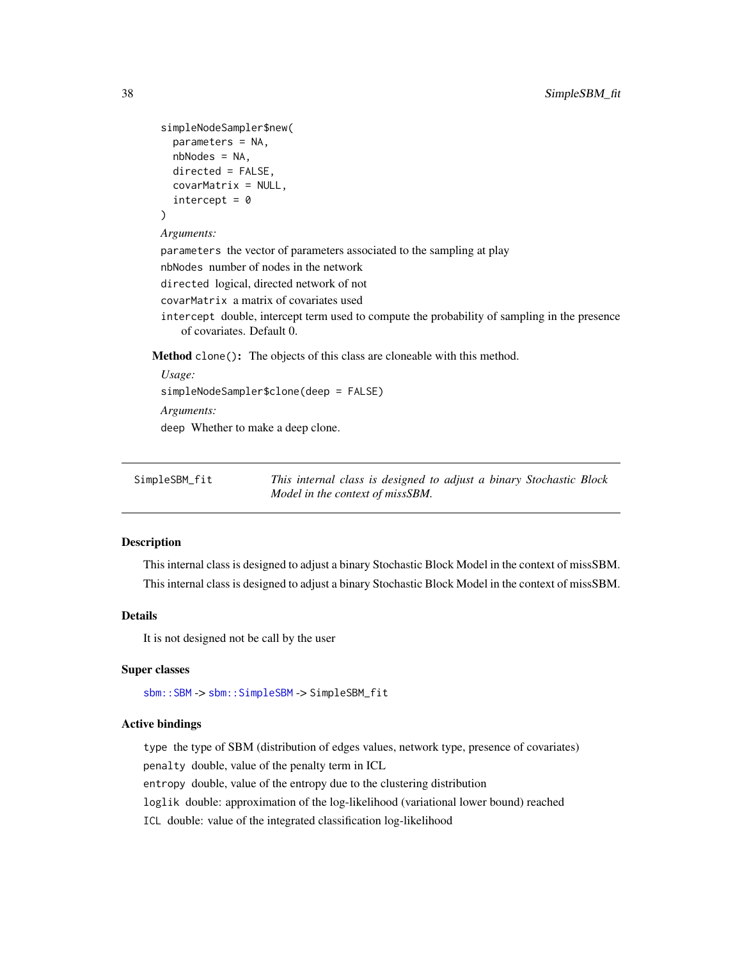```
simpleNodeSampler$new(
  parameters = NA,
  nbNodes = NA,
  directed = FALSE,
  covarMatrix = NULL,
  intercept = <math>0</math>)
```
*Arguments:*

parameters the vector of parameters associated to the sampling at play nbNodes number of nodes in the network directed logical, directed network of not

covarMatrix a matrix of covariates used

intercept double, intercept term used to compute the probability of sampling in the presence of covariates. Default 0.

Method clone(): The objects of this class are cloneable with this method.

```
Usage:
simpleNodeSampler$clone(deep = FALSE)
Arguments:
deep Whether to make a deep clone.
```

| SimpleSBM_fit | This internal class is designed to adjust a binary Stochastic Block |
|---------------|---------------------------------------------------------------------|
|               | Model in the context of missSBM.                                    |

#### **Description**

This internal class is designed to adjust a binary Stochastic Block Model in the context of missSBM. This internal class is designed to adjust a binary Stochastic Block Model in the context of missSBM.

# Details

It is not designed not be call by the user

# Super classes

[sbm::SBM](#page-0-0) -> [sbm::SimpleSBM](#page-0-0) -> SimpleSBM\_fit

# Active bindings

type the type of SBM (distribution of edges values, network type, presence of covariates) penalty double, value of the penalty term in ICL

entropy double, value of the entropy due to the clustering distribution

loglik double: approximation of the log-likelihood (variational lower bound) reached

ICL double: value of the integrated classification log-likelihood

<span id="page-37-0"></span>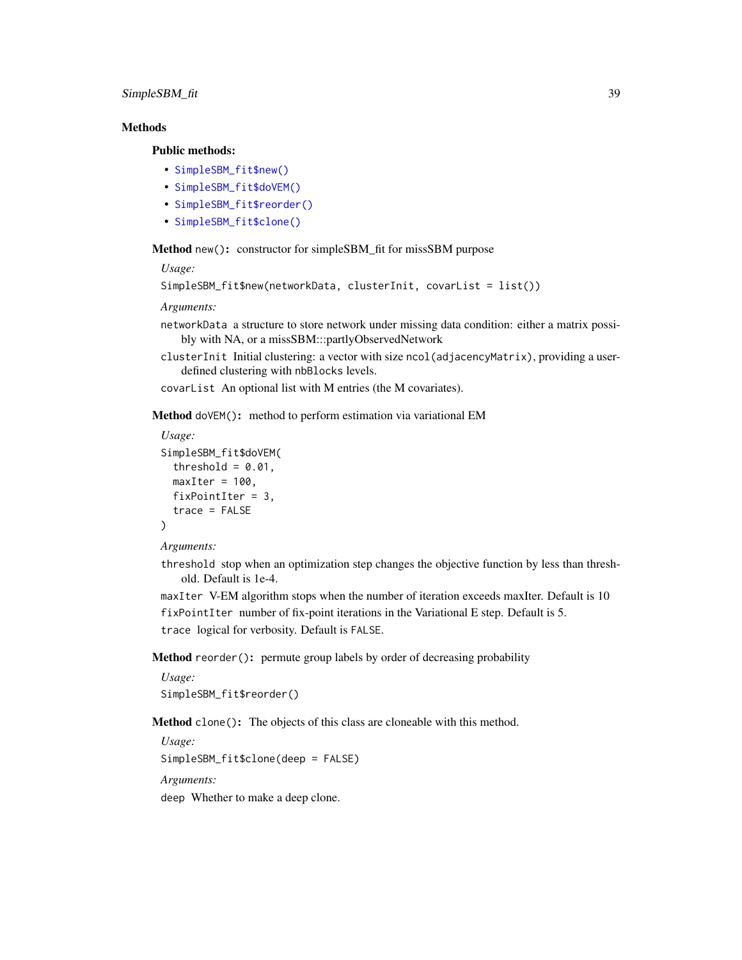# SimpleSBM\_fit 39

# **Methods**

# Public methods:

- [SimpleSBM\\_fit\\$new\(\)](#page-2-1)
- [SimpleSBM\\_fit\\$doVEM\(\)](#page-22-0)
- [SimpleSBM\\_fit\\$reorder\(\)](#page-38-0)
- [SimpleSBM\\_fit\\$clone\(\)](#page-2-2)

Method new(): constructor for simpleSBM\_fit for missSBM purpose

#### *Usage:*

```
SimpleSBM_fit$new(networkData, clusterInit, covarList = list())
```
#### *Arguments:*

- networkData a structure to store network under missing data condition: either a matrix possibly with NA, or a missSBM:::partlyObservedNetwork
- clusterInit Initial clustering: a vector with size ncol(adjacencyMatrix), providing a userdefined clustering with nbBlocks levels.
- covarList An optional list with M entries (the M covariates).

Method doVEM(): method to perform estimation via variational EM

```
Usage:
SimpleSBM_fit$doVEM(
  threshold = 0.01,
  maxIter = 100,
  fixPointIter = 3,
  trace = FALSE
\lambda
```
#### *Arguments:*

threshold stop when an optimization step changes the objective function by less than threshold. Default is 1e-4.

maxIter V-EM algorithm stops when the number of iteration exceeds maxIter. Default is 10 fixPointIter number of fix-point iterations in the Variational E step. Default is 5. trace logical for verbosity. Default is FALSE.

<span id="page-38-0"></span>Method reorder(): permute group labels by order of decreasing probability

*Usage:* SimpleSBM\_fit\$reorder()

Method clone(): The objects of this class are cloneable with this method.

*Usage:* SimpleSBM\_fit\$clone(deep = FALSE) *Arguments:* deep Whether to make a deep clone.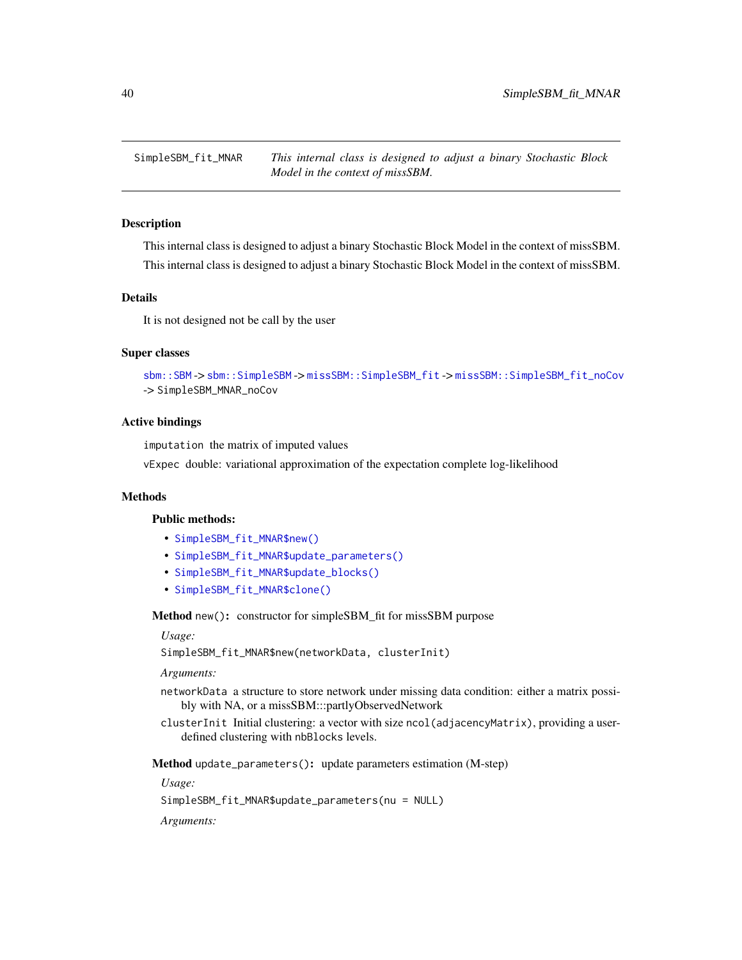<span id="page-39-1"></span><span id="page-39-0"></span>SimpleSBM\_fit\_MNAR *This internal class is designed to adjust a binary Stochastic Block Model in the context of missSBM.*

#### **Description**

This internal class is designed to adjust a binary Stochastic Block Model in the context of missSBM. This internal class is designed to adjust a binary Stochastic Block Model in the context of missSBM.

# Details

It is not designed not be call by the user

# Super classes

```
sbm::SBM -> sbm::SimpleSBM -> missSBM::SimpleSBM_fit -> missSBM::SimpleSBM_fit_noCov
-> SimpleSBM_MNAR_noCov
```
# Active bindings

imputation the matrix of imputed values

vExpec double: variational approximation of the expectation complete log-likelihood

# Methods

# Public methods:

- [SimpleSBM\\_fit\\_MNAR\\$new\(\)](#page-2-1)
- [SimpleSBM\\_fit\\_MNAR\\$update\\_parameters\(\)](#page-3-1)
- [SimpleSBM\\_fit\\_MNAR\\$update\\_blocks\(\)](#page-40-2)
- [SimpleSBM\\_fit\\_MNAR\\$clone\(\)](#page-2-2)

Method new(): constructor for simpleSBM\_fit for missSBM purpose

#### *Usage:*

SimpleSBM\_fit\_MNAR\$new(networkData, clusterInit)

*Arguments:*

- networkData a structure to store network under missing data condition: either a matrix possibly with NA, or a missSBM:::partlyObservedNetwork
- clusterInit Initial clustering: a vector with size ncol(adjacencyMatrix), providing a userdefined clustering with nbBlocks levels.

Method update\_parameters(): update parameters estimation (M-step)

*Usage:*

SimpleSBM\_fit\_MNAR\$update\_parameters(nu = NULL)

*Arguments:*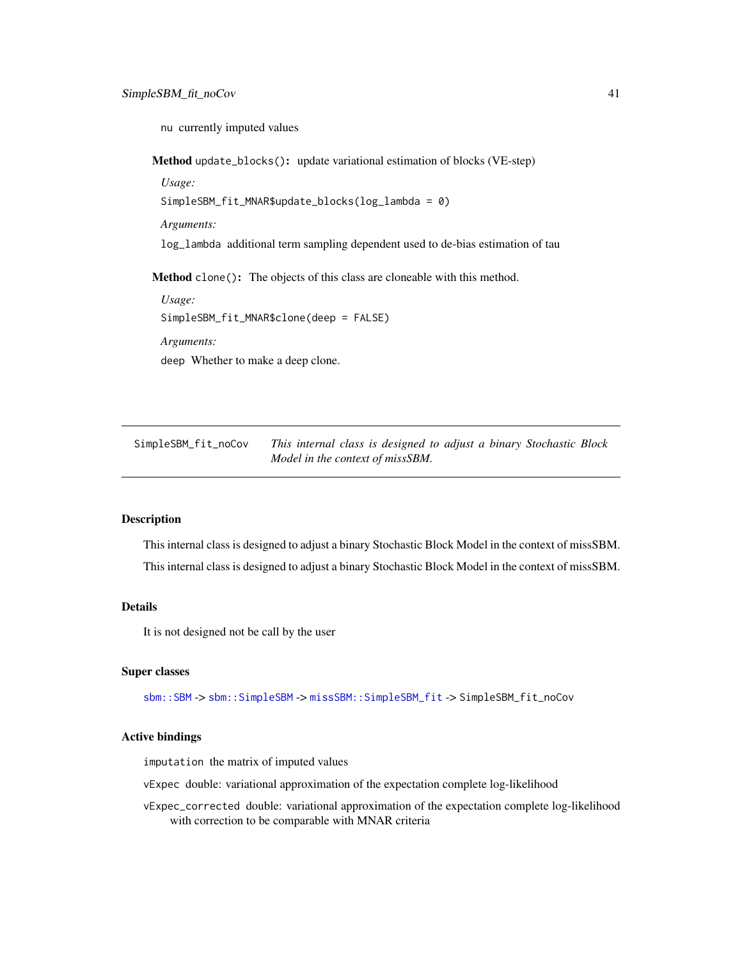<span id="page-40-0"></span>nu currently imputed values

<span id="page-40-2"></span>Method update\_blocks(): update variational estimation of blocks (VE-step)

*Usage:* SimpleSBM\_fit\_MNAR\$update\_blocks(log\_lambda = 0) *Arguments:* log\_lambda additional term sampling dependent used to de-bias estimation of tau Method clone(): The objects of this class are cloneable with this method. *Usage:* SimpleSBM\_fit\_MNAR\$clone(deep = FALSE) *Arguments:*

deep Whether to make a deep clone.

<span id="page-40-1"></span>SimpleSBM\_fit\_noCov *This internal class is designed to adjust a binary Stochastic Block Model in the context of missSBM.*

# **Description**

This internal class is designed to adjust a binary Stochastic Block Model in the context of missSBM. This internal class is designed to adjust a binary Stochastic Block Model in the context of missSBM.

# Details

It is not designed not be call by the user

#### Super classes

[sbm::SBM](#page-0-0) -> [sbm::SimpleSBM](#page-0-0) -> [missSBM::SimpleSBM\\_fit](#page-0-0) -> SimpleSBM\_fit\_noCov

#### Active bindings

imputation the matrix of imputed values

vExpec double: variational approximation of the expectation complete log-likelihood

vExpec\_corrected double: variational approximation of the expectation complete log-likelihood with correction to be comparable with MNAR criteria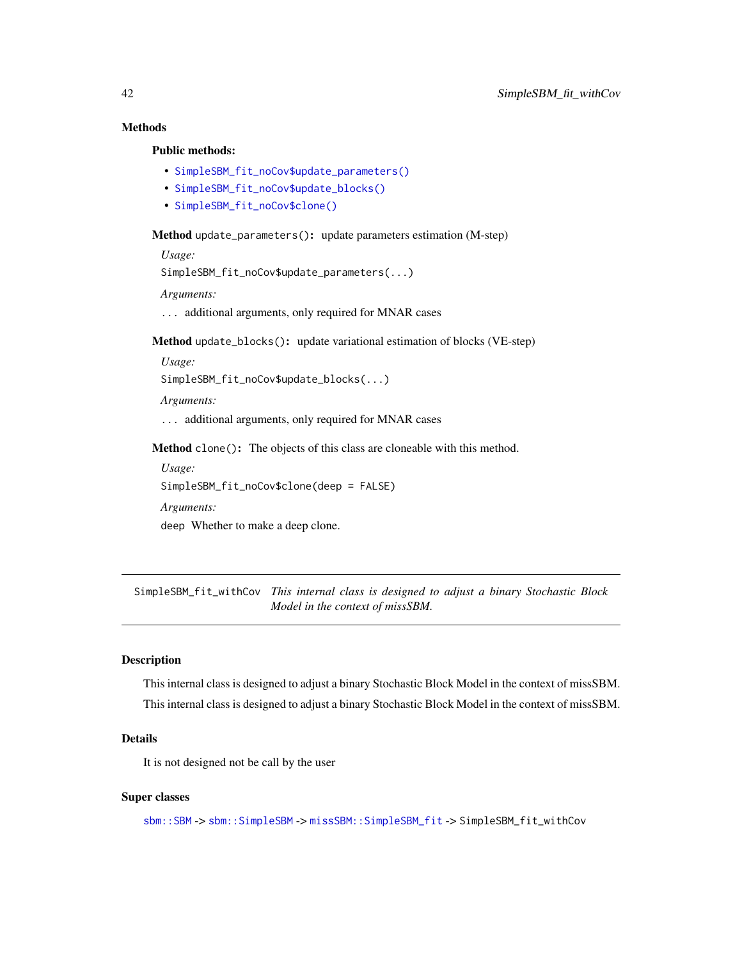# Methods

# Public methods:

- [SimpleSBM\\_fit\\_noCov\\$update\\_parameters\(\)](#page-3-1)
- [SimpleSBM\\_fit\\_noCov\\$update\\_blocks\(\)](#page-40-2)
- [SimpleSBM\\_fit\\_noCov\\$clone\(\)](#page-2-2)

#### Method update\_parameters(): update parameters estimation (M-step)

*Usage:*

SimpleSBM\_fit\_noCov\$update\_parameters(...)

*Arguments:*

... additional arguments, only required for MNAR cases

Method update\_blocks(): update variational estimation of blocks (VE-step)

*Usage:*

SimpleSBM\_fit\_noCov\$update\_blocks(...)

*Arguments:*

... additional arguments, only required for MNAR cases

Method clone(): The objects of this class are cloneable with this method.

*Usage:* SimpleSBM\_fit\_noCov\$clone(deep = FALSE)

*Arguments:*

deep Whether to make a deep clone.

<span id="page-41-1"></span>SimpleSBM\_fit\_withCov *This internal class is designed to adjust a binary Stochastic Block Model in the context of missSBM.*

# Description

This internal class is designed to adjust a binary Stochastic Block Model in the context of missSBM. This internal class is designed to adjust a binary Stochastic Block Model in the context of missSBM.

# Details

It is not designed not be call by the user

#### Super classes

[sbm::SBM](#page-0-0) -> [sbm::SimpleSBM](#page-0-0) -> [missSBM::SimpleSBM\\_fit](#page-0-0) -> SimpleSBM\_fit\_withCov

<span id="page-41-0"></span>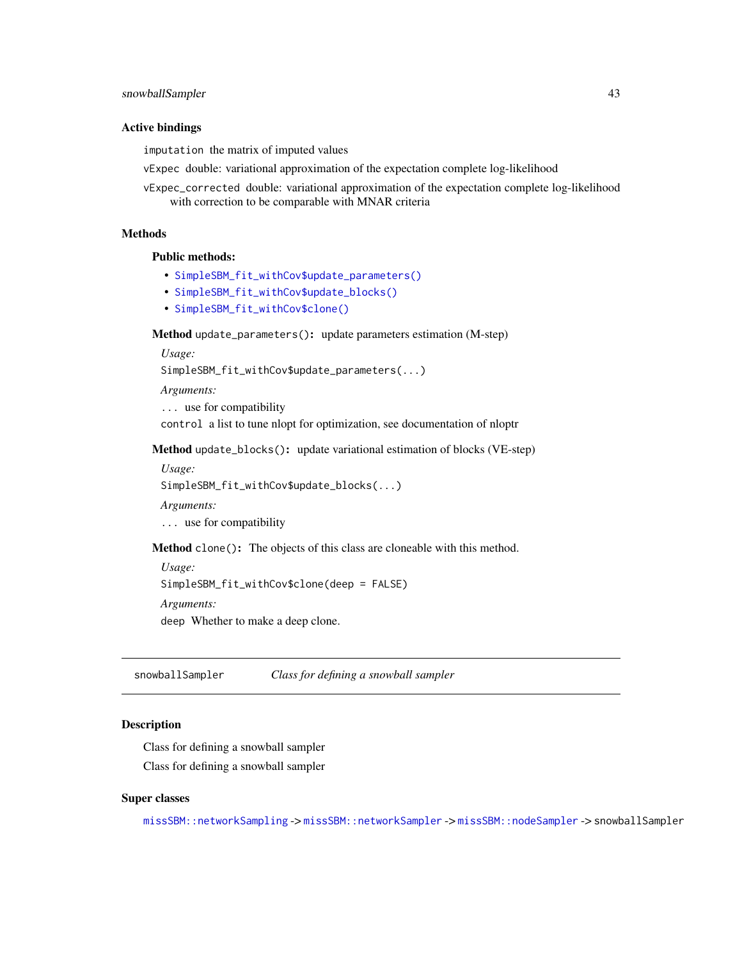#### <span id="page-42-0"></span>Active bindings

imputation the matrix of imputed values

vExpec double: variational approximation of the expectation complete log-likelihood

vExpec\_corrected double: variational approximation of the expectation complete log-likelihood with correction to be comparable with MNAR criteria

# Methods

Public methods:

- [SimpleSBM\\_fit\\_withCov\\$update\\_parameters\(\)](#page-3-1)
- [SimpleSBM\\_fit\\_withCov\\$update\\_blocks\(\)](#page-40-2)
- [SimpleSBM\\_fit\\_withCov\\$clone\(\)](#page-2-2)

Method update\_parameters(): update parameters estimation (M-step)

*Usage:*

SimpleSBM\_fit\_withCov\$update\_parameters(...)

*Arguments:*

... use for compatibility

control a list to tune nlopt for optimization, see documentation of nloptr

Method update\_blocks(): update variational estimation of blocks (VE-step)

*Usage:*

SimpleSBM\_fit\_withCov\$update\_blocks(...)

*Arguments:*

... use for compatibility

Method clone(): The objects of this class are cloneable with this method.

*Usage:* SimpleSBM\_fit\_withCov\$clone(deep = FALSE)

*Arguments:*

deep Whether to make a deep clone.

snowballSampler *Class for defining a snowball sampler*

# Description

Class for defining a snowball sampler Class for defining a snowball sampler

#### Super classes

[missSBM::networkSampling](#page-0-0) -> [missSBM::networkSampler](#page-0-0) -> [missSBM::nodeSampler](#page-0-0) -> snowballSampler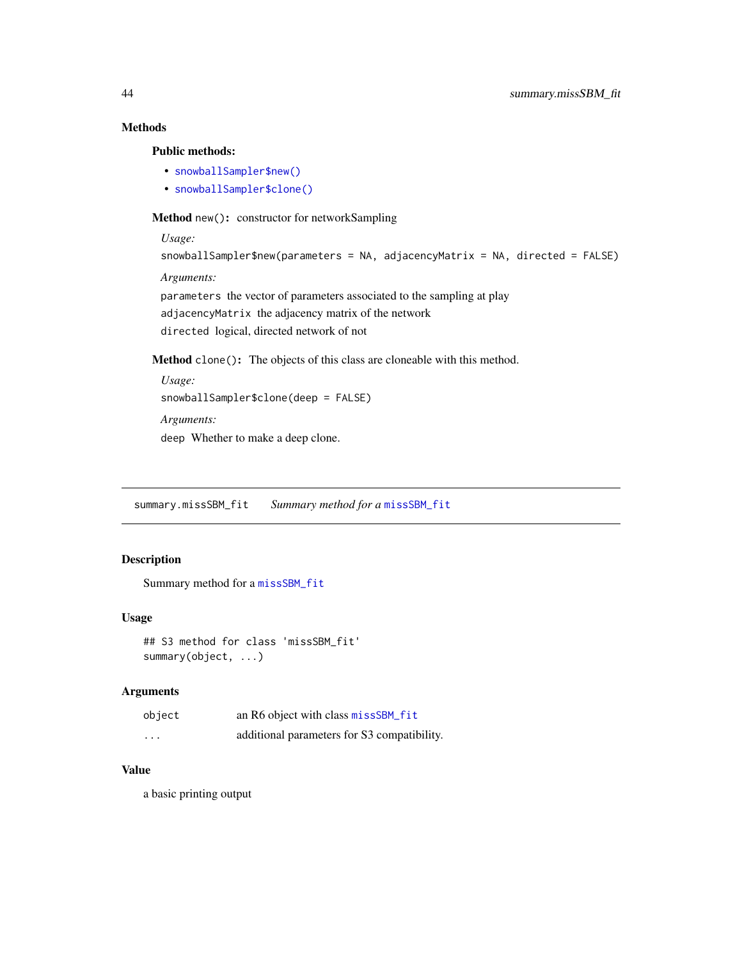# Methods

Public methods:

- [snowballSampler\\$new\(\)](#page-2-1)
- [snowballSampler\\$clone\(\)](#page-2-2)

Method new(): constructor for networkSampling

```
Usage:
snowballSampler$new(parameters = NA, adjacencyMatrix = NA, directed = FALSE)
Arguments:
parameters the vector of parameters associated to the sampling at play
adjacencyMatrix the adjacency matrix of the network
directed logical, directed network of not
```
Method clone(): The objects of this class are cloneable with this method.

```
Usage:
snowballSampler$clone(deep = FALSE)
Arguments:
deep Whether to make a deep clone.
```
summary.missSBM\_fit *Summary method for a* [missSBM\\_fit](#page-21-1)

# Description

```
Summary method for a missSBM_fit
```
### Usage

```
## S3 method for class 'missSBM_fit'
summary(object, ...)
```
#### Arguments

| object  | an R6 object with class missSBM_fit         |
|---------|---------------------------------------------|
| $\cdot$ | additional parameters for S3 compatibility. |

# Value

a basic printing output

<span id="page-43-0"></span>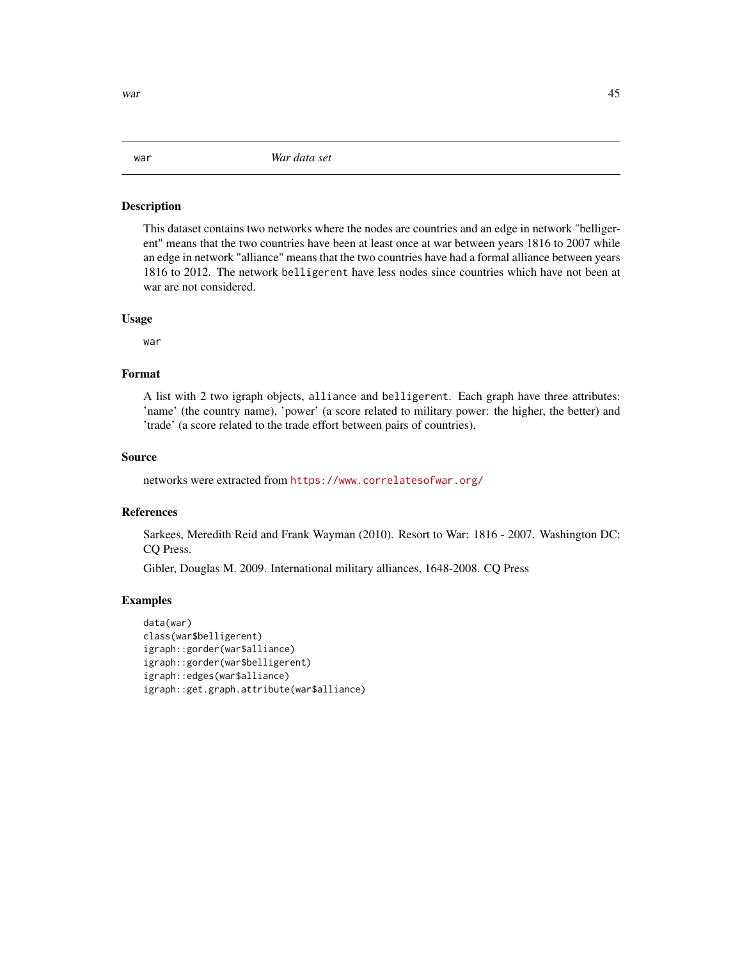# <span id="page-44-0"></span>Description

This dataset contains two networks where the nodes are countries and an edge in network "belligerent" means that the two countries have been at least once at war between years 1816 to 2007 while an edge in network "alliance" means that the two countries have had a formal alliance between years 1816 to 2012. The network belligerent have less nodes since countries which have not been at war are not considered.

# Usage

war

# Format

A list with 2 two igraph objects, alliance and belligerent. Each graph have three attributes: 'name' (the country name), 'power' (a score related to military power: the higher, the better) and 'trade' (a score related to the trade effort between pairs of countries).

# Source

networks were extracted from <https://www.correlatesofwar.org/>

# References

Sarkees, Meredith Reid and Frank Wayman (2010). Resort to War: 1816 - 2007. Washington DC: CQ Press.

Gibler, Douglas M. 2009. International military alliances, 1648-2008. CQ Press

#### Examples

```
data(war)
class(war$belligerent)
igraph::gorder(war$alliance)
igraph::gorder(war$belligerent)
igraph::edges(war$alliance)
igraph::get.graph.attribute(war$alliance)
```